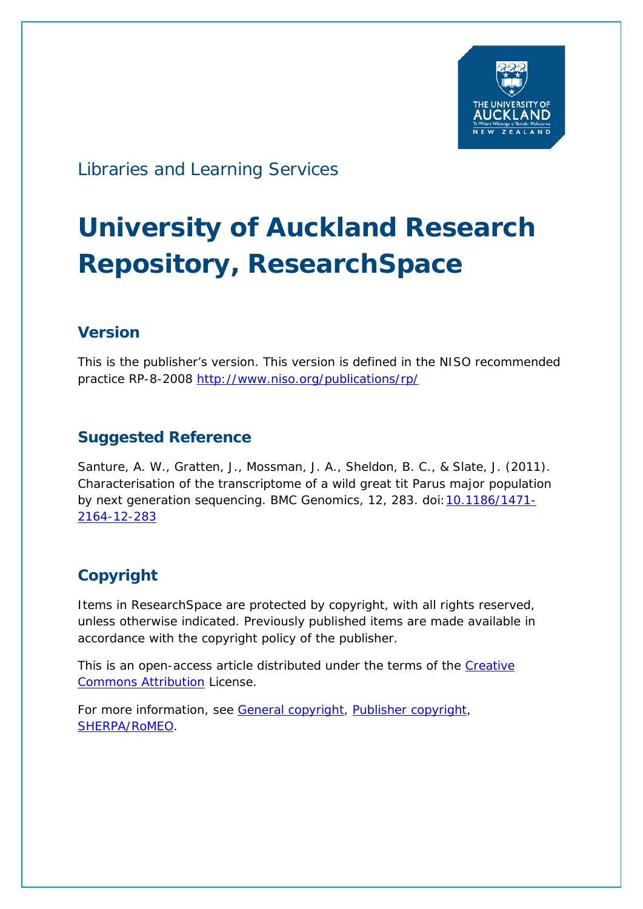

Libraries and Learning Services

# **University of Auckland Research Repository, ResearchSpace**

## **Version**

This is the publisher's version. This version is defined in the NISO recommended practice RP-8-2008<http://www.niso.org/publications/rp/>

## **Suggested Reference**

Santure, A. W., Gratten, J., Mossman, J. A., Sheldon, B. C., & Slate, J. (2011). Characterisation of the transcriptome of a wild great tit *Parus major* population by next generation sequencing. *BMC Genomics*, *12*, 283. doi[:10.1186/1471-](http://dx.doi.org/10.1186/1471-2164-12-283) [2164-12-283](http://dx.doi.org/10.1186/1471-2164-12-283)

## **Copyright**

Items in ResearchSpace are protected by copyright, with all rights reserved, unless otherwise indicated. Previously published items are made available in accordance with the copyright policy of the publisher.

This is an open-access article distributed under the terms of the Creative [Commons Attribution](https://creativecommons.org/licenses/by/2.0/) License.

For more information, see [General copyright,](http://www.library.auckland.ac.nz/services/research-support/depositing-theses/copyright) [Publisher copyright,](http://www.biomedcentral.com/about/open-access) [SHERPA/RoMEO.](http://www.sherpa.ac.uk/romeo/issn/1471-2156/)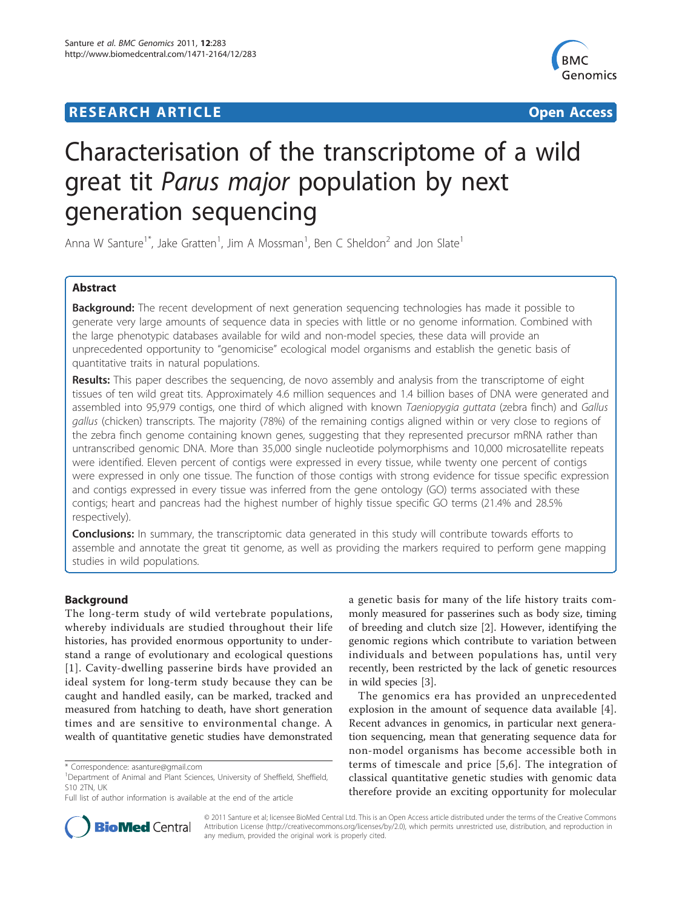### **RESEARCH ARTICLE Example 2018 12:30 THE Open Access**



## Characterisation of the transcriptome of a wild great tit Parus major population by next generation sequencing

Anna W Santure<sup>1\*</sup>, Jake Gratten<sup>1</sup>, Jim A Mossman<sup>1</sup>, Ben C Sheldon<sup>2</sup> and Jon Slate<sup>1</sup>

#### Abstract

Background: The recent development of next generation sequencing technologies has made it possible to generate very large amounts of sequence data in species with little or no genome information. Combined with the large phenotypic databases available for wild and non-model species, these data will provide an unprecedented opportunity to "genomicise" ecological model organisms and establish the genetic basis of quantitative traits in natural populations.

Results: This paper describes the sequencing, de novo assembly and analysis from the transcriptome of eight tissues of ten wild great tits. Approximately 4.6 million sequences and 1.4 billion bases of DNA were generated and assembled into 95,979 contigs, one third of which aligned with known Taeniopygia guttata (zebra finch) and Gallus gallus (chicken) transcripts. The majority (78%) of the remaining contigs aligned within or very close to regions of the zebra finch genome containing known genes, suggesting that they represented precursor mRNA rather than untranscribed genomic DNA. More than 35,000 single nucleotide polymorphisms and 10,000 microsatellite repeats were identified. Eleven percent of contigs were expressed in every tissue, while twenty one percent of contigs were expressed in only one tissue. The function of those contigs with strong evidence for tissue specific expression and contigs expressed in every tissue was inferred from the gene ontology (GO) terms associated with these contigs; heart and pancreas had the highest number of highly tissue specific GO terms (21.4% and 28.5% respectively).

**Conclusions:** In summary, the transcriptomic data generated in this study will contribute towards efforts to assemble and annotate the great tit genome, as well as providing the markers required to perform gene mapping studies in wild populations.

#### Background

The long-term study of wild vertebrate populations, whereby individuals are studied throughout their life histories, has provided enormous opportunity to understand a range of evolutionary and ecological questions [[1](#page-17-0)]. Cavity-dwelling passerine birds have provided an ideal system for long-term study because they can be caught and handled easily, can be marked, tracked and measured from hatching to death, have short generation times and are sensitive to environmental change. A wealth of quantitative genetic studies have demonstrated a genetic basis for many of the life history traits commonly measured for passerines such as body size, timing of breeding and clutch size [\[2](#page-17-0)]. However, identifying the genomic regions which contribute to variation between individuals and between populations has, until very recently, been restricted by the lack of genetic resources in wild species [\[3\]](#page-17-0).

The genomics era has provided an unprecedented explosion in the amount of sequence data available [\[4](#page-17-0)]. Recent advances in genomics, in particular next generation sequencing, mean that generating sequence data for non-model organisms has become accessible both in terms of timescale and price [[5,6](#page-17-0)]. The integration of classical quantitative genetic studies with genomic data therefore provide an exciting opportunity for molecular



© 2011 Santure et al; licensee BioMed Central Ltd. This is an Open Access article distributed under the terms of the Creative Commons Attribution License [\(http://creativecommons.org/licenses/by/2.0](http://creativecommons.org/licenses/by/2.0)), which permits unrestricted use, distribution, and reproduction in any medium, provided the original work is properly cited.

<sup>\*</sup> Correspondence: [asanture@gmail.com](mailto:asanture@gmail.com)

<sup>&</sup>lt;sup>1</sup>Department of Animal and Plant Sciences, University of Sheffield, Sheffield, S10 2TN, UK

Full list of author information is available at the end of the article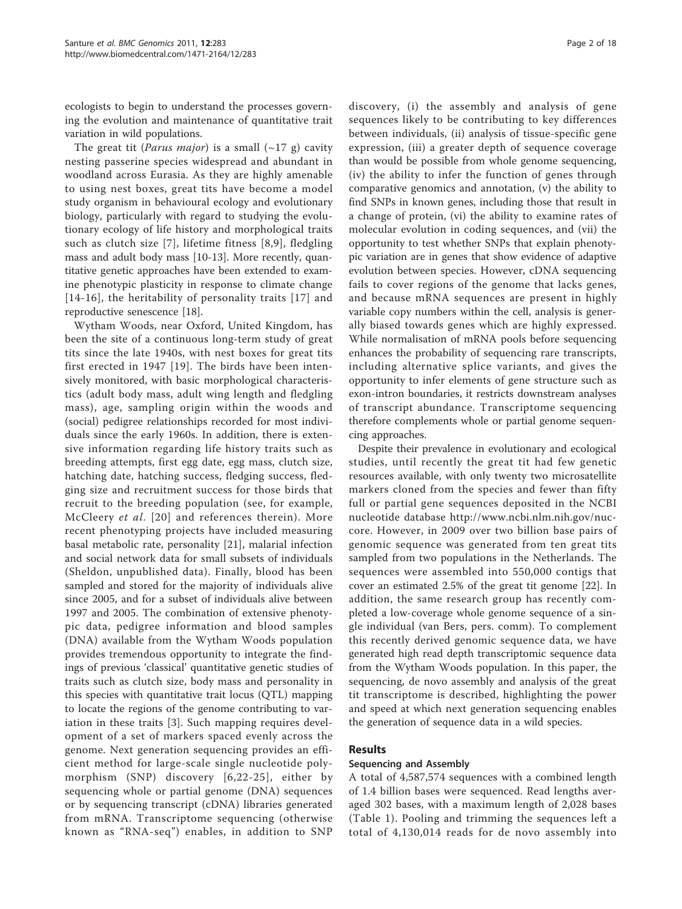ecologists to begin to understand the processes governing the evolution and maintenance of quantitative trait variation in wild populations.

The great tit (*Parus major*) is a small  $(-17 g)$  cavity nesting passerine species widespread and abundant in woodland across Eurasia. As they are highly amenable to using nest boxes, great tits have become a model study organism in behavioural ecology and evolutionary biology, particularly with regard to studying the evolutionary ecology of life history and morphological traits such as clutch size [[7\]](#page-17-0), lifetime fitness [\[8,9](#page-17-0)], fledgling mass and adult body mass [[10-](#page-17-0)[13\]](#page-18-0). More recently, quantitative genetic approaches have been extended to examine phenotypic plasticity in response to climate change [[14-16\]](#page-18-0), the heritability of personality traits [[17\]](#page-18-0) and reproductive senescence [\[18](#page-18-0)].

Wytham Woods, near Oxford, United Kingdom, has been the site of a continuous long-term study of great tits since the late 1940s, with nest boxes for great tits first erected in 1947 [[19\]](#page-18-0). The birds have been intensively monitored, with basic morphological characteristics (adult body mass, adult wing length and fledgling mass), age, sampling origin within the woods and (social) pedigree relationships recorded for most individuals since the early 1960s. In addition, there is extensive information regarding life history traits such as breeding attempts, first egg date, egg mass, clutch size, hatching date, hatching success, fledging success, fledging size and recruitment success for those birds that recruit to the breeding population (see, for example, McCleery *et al.* [[20](#page-18-0)] and references therein). More recent phenotyping projects have included measuring basal metabolic rate, personality [\[21](#page-18-0)], malarial infection and social network data for small subsets of individuals (Sheldon, unpublished data). Finally, blood has been sampled and stored for the majority of individuals alive since 2005, and for a subset of individuals alive between 1997 and 2005. The combination of extensive phenotypic data, pedigree information and blood samples (DNA) available from the Wytham Woods population provides tremendous opportunity to integrate the findings of previous 'classical' quantitative genetic studies of traits such as clutch size, body mass and personality in this species with quantitative trait locus (QTL) mapping to locate the regions of the genome contributing to variation in these traits [\[3](#page-17-0)]. Such mapping requires development of a set of markers spaced evenly across the genome. Next generation sequencing provides an efficient method for large-scale single nucleotide polymorphism (SNP) discovery [[6](#page-17-0),[22](#page-18-0)-[25](#page-18-0)], either by sequencing whole or partial genome (DNA) sequences or by sequencing transcript (cDNA) libraries generated from mRNA. Transcriptome sequencing (otherwise known as "RNA-seq") enables, in addition to SNP

discovery, (i) the assembly and analysis of gene sequences likely to be contributing to key differences between individuals, (ii) analysis of tissue-specific gene expression, (iii) a greater depth of sequence coverage than would be possible from whole genome sequencing, (iv) the ability to infer the function of genes through comparative genomics and annotation, (v) the ability to find SNPs in known genes, including those that result in a change of protein, (vi) the ability to examine rates of molecular evolution in coding sequences, and (vii) the opportunity to test whether SNPs that explain phenotypic variation are in genes that show evidence of adaptive evolution between species. However, cDNA sequencing fails to cover regions of the genome that lacks genes, and because mRNA sequences are present in highly variable copy numbers within the cell, analysis is generally biased towards genes which are highly expressed. While normalisation of mRNA pools before sequencing enhances the probability of sequencing rare transcripts, including alternative splice variants, and gives the opportunity to infer elements of gene structure such as exon-intron boundaries, it restricts downstream analyses of transcript abundance. Transcriptome sequencing therefore complements whole or partial genome sequencing approaches.

Despite their prevalence in evolutionary and ecological studies, until recently the great tit had few genetic resources available, with only twenty two microsatellite markers cloned from the species and fewer than fifty full or partial gene sequences deposited in the NCBI nucleotide database [http://www.ncbi.nlm.nih.gov/nuc](http://www.ncbi.nlm.nih.gov/nuccore)[core](http://www.ncbi.nlm.nih.gov/nuccore). However, in 2009 over two billion base pairs of genomic sequence was generated from ten great tits sampled from two populations in the Netherlands. The sequences were assembled into 550,000 contigs that cover an estimated 2.5% of the great tit genome [\[22](#page-18-0)]. In addition, the same research group has recently completed a low-coverage whole genome sequence of a single individual (van Bers, pers. comm). To complement this recently derived genomic sequence data, we have generated high read depth transcriptomic sequence data from the Wytham Woods population. In this paper, the sequencing, de novo assembly and analysis of the great tit transcriptome is described, highlighting the power and speed at which next generation sequencing enables the generation of sequence data in a wild species.

#### Results

#### Sequencing and Assembly

A total of 4,587,574 sequences with a combined length of 1.4 billion bases were sequenced. Read lengths averaged 302 bases, with a maximum length of 2,028 bases (Table [1\)](#page-3-0). Pooling and trimming the sequences left a total of 4,130,014 reads for de novo assembly into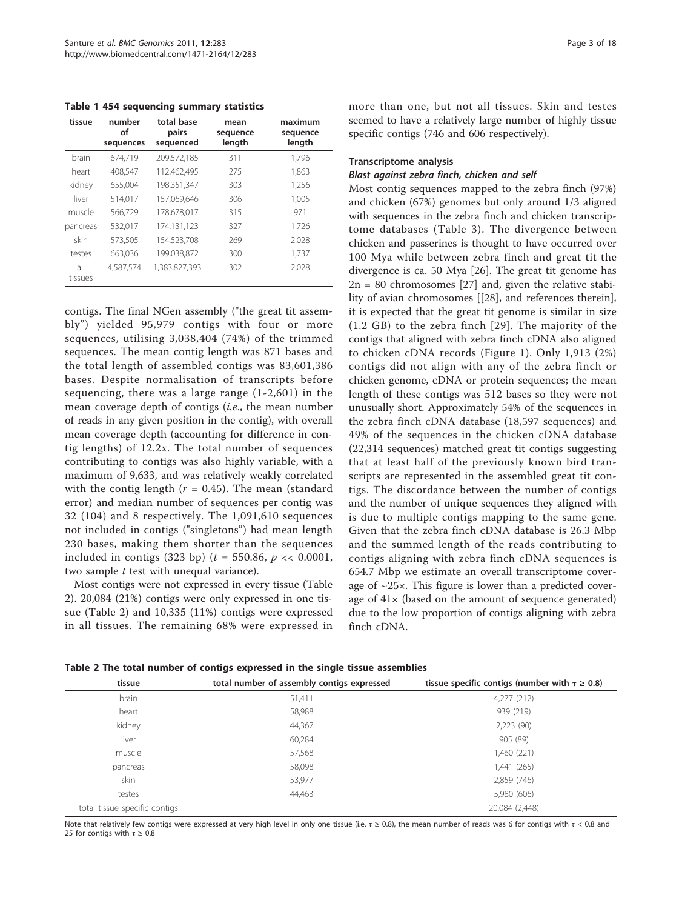<span id="page-3-0"></span>Table 1 454 sequencing summary statistics

| tissue         | number<br>οf<br>sequences | total base<br>pairs<br>sequenced | mean<br>sequence<br>length | maximum<br>sequence<br>length |
|----------------|---------------------------|----------------------------------|----------------------------|-------------------------------|
| brain          | 674.719                   | 209,572,185                      | 311                        | 1.796                         |
| heart          | 408.547                   | 112.462.495                      | 275                        | 1.863                         |
| kidney         | 655,004                   | 198.351.347                      | 303                        | 1.256                         |
| liver          | 514.017                   | 157.069.646                      | 306                        | 1.005                         |
| muscle         | 566,729                   | 178,678,017                      | 315                        | 971                           |
| pancreas       | 532.017                   | 174.131.123                      | 327                        | 1.726                         |
| skin           | 573.505                   | 154,523,708                      | 269                        | 2.028                         |
| testes         | 663,036                   | 199.038.872                      | 300                        | 1.737                         |
| all<br>tissues | 4,587,574                 | 1,383,827,393                    | 302                        | 2,028                         |

contigs. The final NGen assembly ("the great tit assembly") yielded 95,979 contigs with four or more sequences, utilising 3,038,404 (74%) of the trimmed sequences. The mean contig length was 871 bases and the total length of assembled contigs was 83,601,386 bases. Despite normalisation of transcripts before sequencing, there was a large range (1-2,601) in the mean coverage depth of contigs (i.e., the mean number of reads in any given position in the contig), with overall mean coverage depth (accounting for difference in contig lengths) of 12.2x. The total number of sequences contributing to contigs was also highly variable, with a maximum of 9,633, and was relatively weakly correlated with the contig length ( $r = 0.45$ ). The mean (standard error) and median number of sequences per contig was 32 (104) and 8 respectively. The 1,091,610 sequences not included in contigs ("singletons") had mean length 230 bases, making them shorter than the sequences included in contigs (323 bp)  $(t = 550.86, p << 0.0001,$ two sample  $t$  test with unequal variance).

Most contigs were not expressed in every tissue (Table 2). 20,084 (21%) contigs were only expressed in one tissue (Table 2) and 10,335 (11%) contigs were expressed in all tissues. The remaining 68% were expressed in

more than one, but not all tissues. Skin and testes seemed to have a relatively large number of highly tissue specific contigs (746 and 606 respectively).

#### Transcriptome analysis

#### Blast against zebra finch, chicken and self

Most contig sequences mapped to the zebra finch (97%) and chicken (67%) genomes but only around 1/3 aligned with sequences in the zebra finch and chicken transcriptome databases (Table [3](#page-4-0)). The divergence between chicken and passerines is thought to have occurred over 100 Mya while between zebra finch and great tit the divergence is ca. 50 Mya [\[26](#page-18-0)]. The great tit genome has  $2n = 80$  chromosomes [\[27](#page-18-0)] and, given the relative stability of avian chromosomes [[[28\]](#page-18-0), and references therein], it is expected that the great tit genome is similar in size (1.2 GB) to the zebra finch [[29](#page-18-0)]. The majority of the contigs that aligned with zebra finch cDNA also aligned to chicken cDNA records (Figure [1](#page-4-0)). Only 1,913 (2%) contigs did not align with any of the zebra finch or chicken genome, cDNA or protein sequences; the mean length of these contigs was 512 bases so they were not unusually short. Approximately 54% of the sequences in the zebra finch cDNA database (18,597 sequences) and 49% of the sequences in the chicken cDNA database (22,314 sequences) matched great tit contigs suggesting that at least half of the previously known bird transcripts are represented in the assembled great tit contigs. The discordance between the number of contigs and the number of unique sequences they aligned with is due to multiple contigs mapping to the same gene. Given that the zebra finch cDNA database is 26.3 Mbp and the summed length of the reads contributing to contigs aligning with zebra finch cDNA sequences is 654.7 Mbp we estimate an overall transcriptome coverage of  $\sim$ 25 $\times$ . This figure is lower than a predicted coverage of  $41\times$  (based on the amount of sequence generated) due to the low proportion of contigs aligning with zebra finch cDNA.

Table 2 The total number of contigs expressed in the single tissue assemblies

| tissue                        | total number of assembly contigs expressed | tissue specific contigs (number with $\tau \geq 0.8$ ) |
|-------------------------------|--------------------------------------------|--------------------------------------------------------|
| brain                         | 51,411                                     | 4,277 (212)                                            |
| heart                         | 58,988                                     | 939 (219)                                              |
| kidney                        | 44,367                                     | 2,223 (90)                                             |
| liver                         | 60,284                                     | 905 (89)                                               |
| muscle                        | 57,568                                     | 1,460 (221)                                            |
| pancreas                      | 58,098                                     | 1,441 (265)                                            |
| skin                          | 53,977                                     | 2,859 (746)                                            |
| testes                        | 44,463                                     | 5,980 (606)                                            |
| total tissue specific contigs |                                            | 20,084 (2,448)                                         |

Note that relatively few contigs were expressed at very high level in only one tissue (i.e. τ ≥ 0.8), the mean number of reads was 6 for contigs with τ < 0.8 and 25 for contigs with  $\tau \geq 0.8$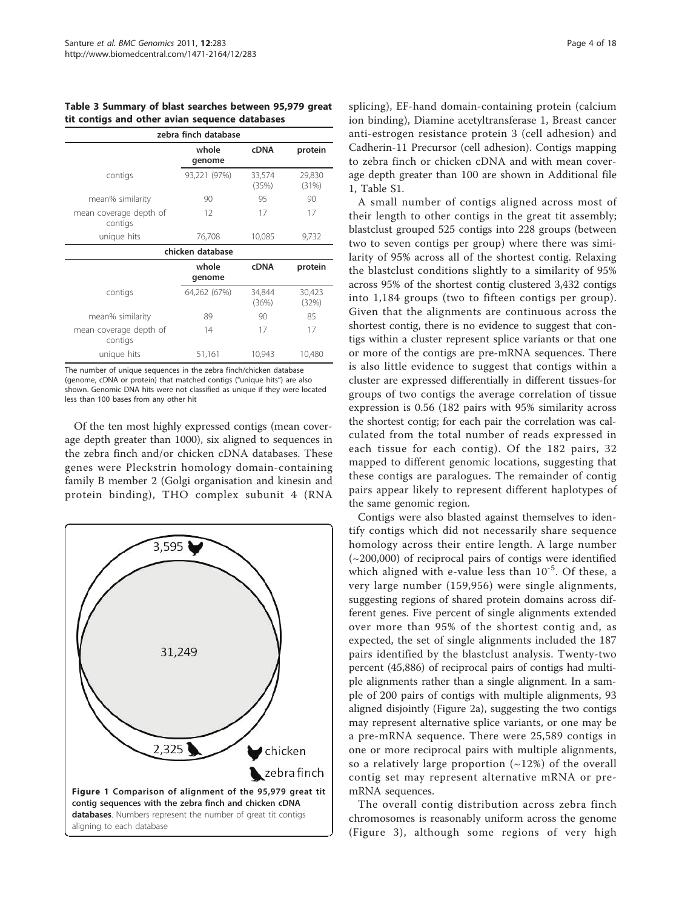<span id="page-4-0"></span>Table 3 Summary of blast searches between 95,979 great tit contigs and other avian sequence databases

| zebra finch database              |                  |                 |                 |  |  |  |  |  |
|-----------------------------------|------------------|-----------------|-----------------|--|--|--|--|--|
|                                   | whole<br>genome  | <b>cDNA</b>     | protein         |  |  |  |  |  |
| contigs                           | 93,221 (97%)     | 33,574<br>(35%) | 29,830<br>(31%) |  |  |  |  |  |
| mean% similarity                  | 90               | 95              | 90              |  |  |  |  |  |
| mean coverage depth of<br>contigs | 12               | 17              | 17              |  |  |  |  |  |
| unique hits                       | 76,708           | 10,085          | 9,732           |  |  |  |  |  |
|                                   | chicken database |                 |                 |  |  |  |  |  |
|                                   | whole<br>genome  | <b>cDNA</b>     | protein         |  |  |  |  |  |
| contigs                           | 64,262 (67%)     | 34,844<br>(36%) | 30,423<br>(32%) |  |  |  |  |  |
| mean% similarity                  | 89               | 90              | 85              |  |  |  |  |  |
| mean coverage depth of<br>contigs | 14               | 17              | 17              |  |  |  |  |  |
| unique hits                       | 51,161           | 10,943          | 10,480          |  |  |  |  |  |

The number of unique sequences in the zebra finch/chicken database (genome, cDNA or protein) that matched contigs ("unique hits") are also shown. Genomic DNA hits were not classified as unique if they were located less than 100 bases from any other hit

Of the ten most highly expressed contigs (mean coverage depth greater than 1000), six aligned to sequences in the zebra finch and/or chicken cDNA databases. These genes were Pleckstrin homology domain-containing family B member 2 (Golgi organisation and kinesin and protein binding), THO complex subunit 4 (RNA



splicing), EF-hand domain-containing protein (calcium ion binding), Diamine acetyltransferase 1, Breast cancer anti-estrogen resistance protein 3 (cell adhesion) and Cadherin-11 Precursor (cell adhesion). Contigs mapping to zebra finch or chicken cDNA and with mean coverage depth greater than 100 are shown in Additional file [1,](#page-17-0) Table S1.

A small number of contigs aligned across most of their length to other contigs in the great tit assembly; blastclust grouped 525 contigs into 228 groups (between two to seven contigs per group) where there was similarity of 95% across all of the shortest contig. Relaxing the blastclust conditions slightly to a similarity of 95% across 95% of the shortest contig clustered 3,432 contigs into 1,184 groups (two to fifteen contigs per group). Given that the alignments are continuous across the shortest contig, there is no evidence to suggest that contigs within a cluster represent splice variants or that one or more of the contigs are pre-mRNA sequences. There is also little evidence to suggest that contigs within a cluster are expressed differentially in different tissues-for groups of two contigs the average correlation of tissue expression is 0.56 (182 pairs with 95% similarity across the shortest contig; for each pair the correlation was calculated from the total number of reads expressed in each tissue for each contig). Of the 182 pairs, 32 mapped to different genomic locations, suggesting that these contigs are paralogues. The remainder of contig pairs appear likely to represent different haplotypes of the same genomic region.

Contigs were also blasted against themselves to identify contigs which did not necessarily share sequence homology across their entire length. A large number (~200,000) of reciprocal pairs of contigs were identified which aligned with e-value less than  $10^{-5}$ . Of these, a very large number (159,956) were single alignments, suggesting regions of shared protein domains across different genes. Five percent of single alignments extended over more than 95% of the shortest contig and, as expected, the set of single alignments included the 187 pairs identified by the blastclust analysis. Twenty-two percent (45,886) of reciprocal pairs of contigs had multiple alignments rather than a single alignment. In a sample of 200 pairs of contigs with multiple alignments, 93 aligned disjointly (Figure [2a\)](#page-5-0), suggesting the two contigs may represent alternative splice variants, or one may be a pre-mRNA sequence. There were 25,589 contigs in one or more reciprocal pairs with multiple alignments, so a relatively large proportion  $(-12%)$  of the overall contig set may represent alternative mRNA or premRNA sequences.

The overall contig distribution across zebra finch chromosomes is reasonably uniform across the genome (Figure [3](#page-6-0)), although some regions of very high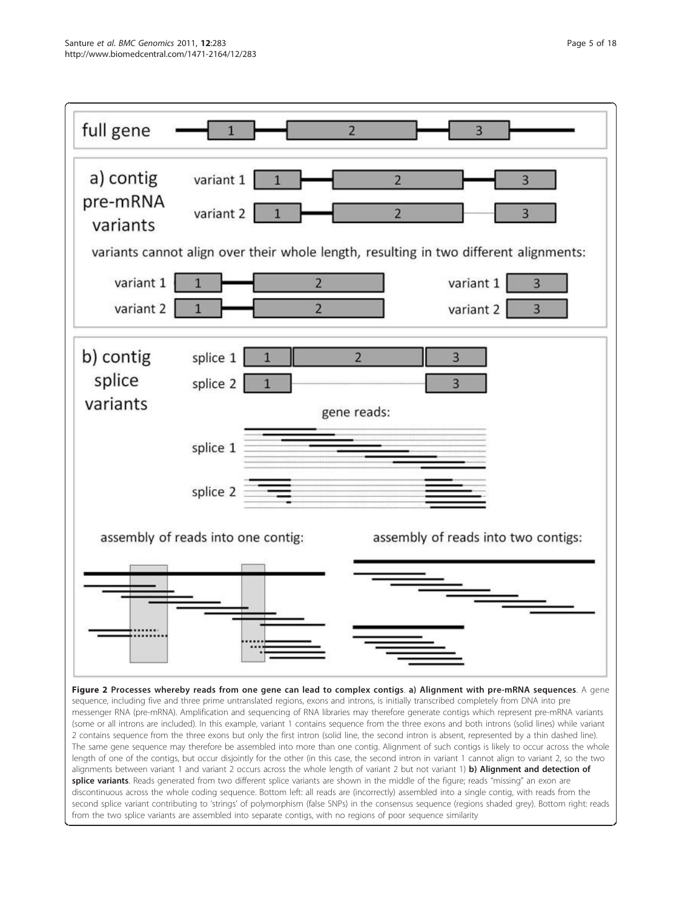<span id="page-5-0"></span>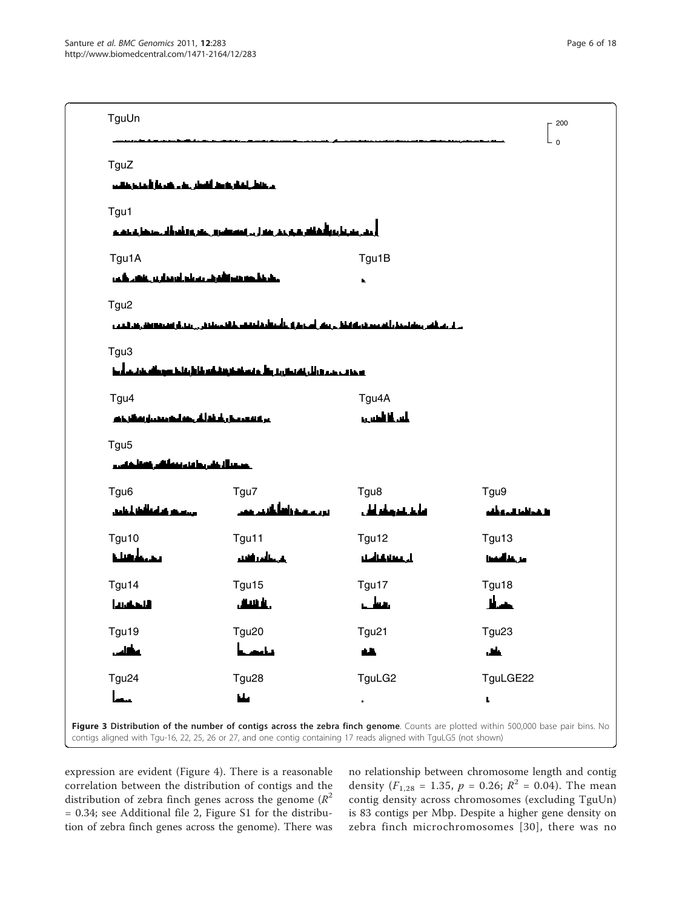<span id="page-6-0"></span>

|                                           |                                                                              |                                     | ∟ o                  |
|-------------------------------------------|------------------------------------------------------------------------------|-------------------------------------|----------------------|
| TguZ                                      |                                                                              |                                     |                      |
|                                           | ممالغة فيلسلة أقيعته ورفعي بالعقال فستعيشها وللتياس                          |                                     |                      |
| Tgu1                                      | ويضاربها أتشاد والأستاذي والمراد والمتعاقبات والتوريد والششار ويتماس والمراج |                                     |                      |
|                                           |                                                                              |                                     |                      |
| Tgu1A                                     | ممراه والتقارب والمتوسل تماسي والتراسي والمتحادية                            | Tgu1B<br>k.                         |                      |
| Tgu <sub>2</sub>                          |                                                                              |                                     |                      |
| منطق والمتناقب والمتحافظ والمتحادث        |                                                                              |                                     |                      |
| Tgu <sub>3</sub>                          |                                                                              |                                     |                      |
|                                           | اسمز فرحم متراولل الشنيش بالريكان فاستشفاه فالتلامة للمستأثر عناهم وأمينا    |                                     |                      |
| Tgu4                                      |                                                                              | Tgu4A                               |                      |
|                                           | يتقاد للأنفاء أستخداهم يقيم بالأناقية والمستقلق بم                           | <u>اب ساما الرحمل</u>               |                      |
| Tgu <sub>5</sub>                          |                                                                              |                                     |                      |
| حسن المغاير بعلى سائنات التيالين المتحاسر |                                                                              |                                     |                      |
| Tgu <sub>6</sub>                          | Tgu7                                                                         | Tgu <sub>8</sub><br>ساعت همساه اسان | Tgu9                 |
| ويستحق فتأهل أتلفاه بأعلمته               | لىرىيەتى <b>ك ئاتارلى</b> لىك بىم                                            |                                     | فالشمانا بالمشاراتين |
| Tgu10<br>مدعولتينية                       | Tgu11<br>بالمساأس القيام                                                     | Tgu12<br>المعالية العبيا            | Tgu13<br>مرجحة أليهم |
|                                           |                                                                              |                                     |                      |
| Tgu14<br>اللحياسا                         | Tgu15<br>. شانش                                                              | Tgu17<br>نقعه ب                     | Tgu18<br>حمالا       |
|                                           | Tgu <sub>20</sub>                                                            | Tgu21                               | Tgu <sub>23</sub>    |
| Tgu19<br>عشاس                             | فباعدينا                                                                     | الأبل                               | وأتلو                |
| Tgu24                                     | Tgu28                                                                        | TguLG2                              | TguLGE22             |
|                                           |                                                                              |                                     |                      |

expression are evident (Figure [4\)](#page-7-0). There is a reasonable correlation between the distribution of contigs and the distribution of zebra finch genes across the genome  $(R^2)$ = 0.34; see Additional file [2,](#page-17-0) Figure S1 for the distribution of zebra finch genes across the genome). There was

no relationship between chromosome length and contig density ( $F_{1,28} = 1.35$ ,  $p = 0.26$ ;  $R^2 = 0.04$ ). The mean contig density across chromosomes (excluding TguUn) is 83 contigs per Mbp. Despite a higher gene density on zebra finch microchromosomes [[30](#page-18-0)], there was no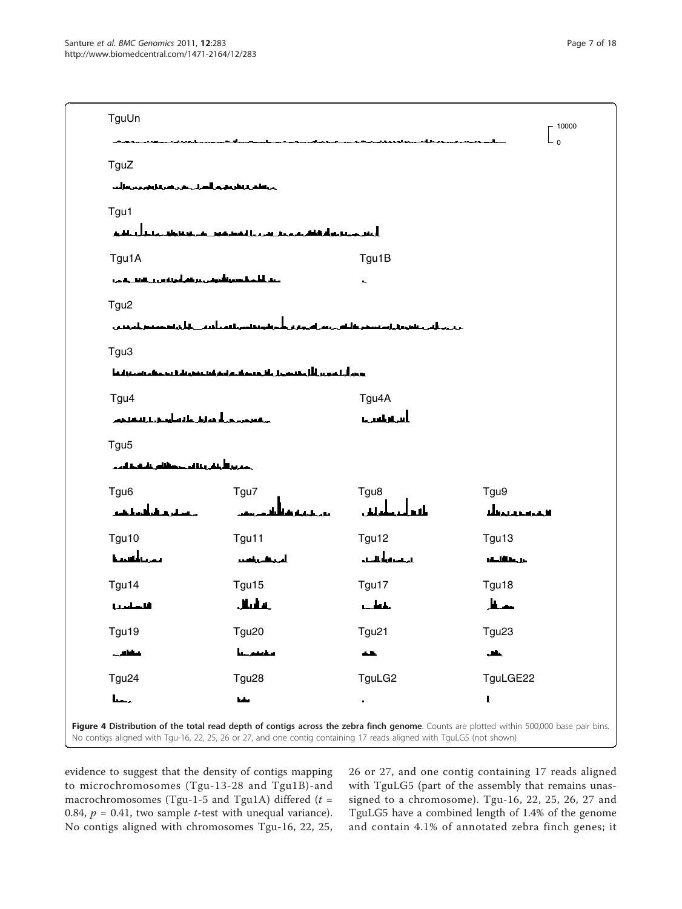<span id="page-7-0"></span>

evidence to suggest that the density of contigs mapping to microchromosomes (Tgu-13-28 and Tgu1B)-and macrochromosomes (Tgu-1-5 and Tgu1A) differed ( $t =$ 0.84,  $p = 0.41$ , two sample *t*-test with unequal variance). No contigs aligned with chromosomes Tgu-16, 22, 25, 26 or 27, and one contig containing 17 reads aligned with TguLG5 (part of the assembly that remains unassigned to a chromosome). Tgu-16, 22, 25, 26, 27 and TguLG5 have a combined length of 1.4% of the genome and contain 4.1% of annotated zebra finch genes; it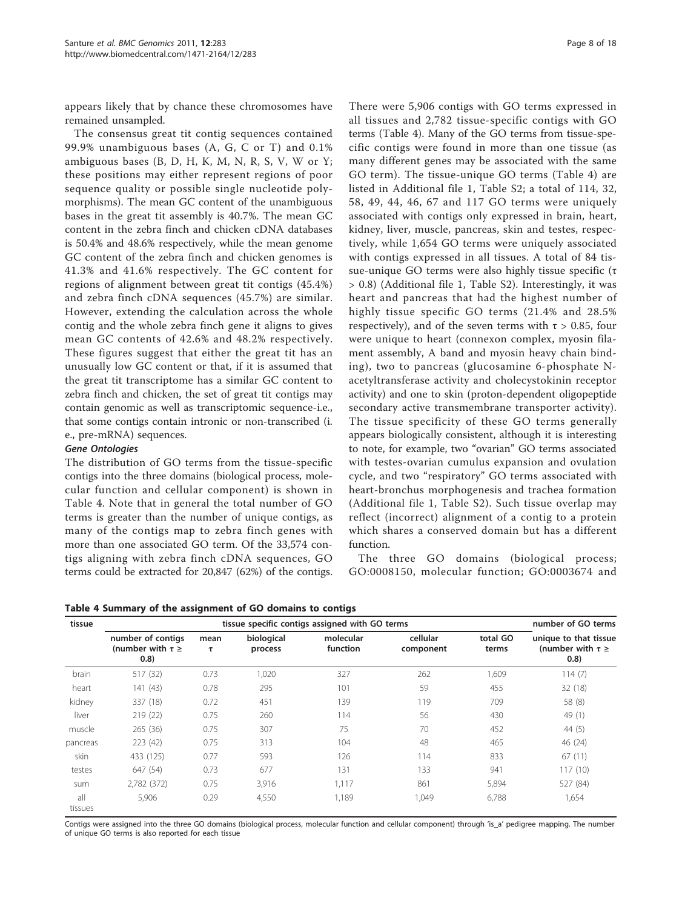appears likely that by chance these chromosomes have remained unsampled.

The consensus great tit contig sequences contained 99.9% unambiguous bases (A, G, C or T) and 0.1% ambiguous bases (B, D, H, K, M, N, R, S, V, W or Y; these positions may either represent regions of poor sequence quality or possible single nucleotide polymorphisms). The mean GC content of the unambiguous bases in the great tit assembly is 40.7%. The mean GC content in the zebra finch and chicken cDNA databases is 50.4% and 48.6% respectively, while the mean genome GC content of the zebra finch and chicken genomes is 41.3% and 41.6% respectively. The GC content for regions of alignment between great tit contigs (45.4%) and zebra finch cDNA sequences (45.7%) are similar. However, extending the calculation across the whole contig and the whole zebra finch gene it aligns to gives mean GC contents of 42.6% and 48.2% respectively. These figures suggest that either the great tit has an unusually low GC content or that, if it is assumed that the great tit transcriptome has a similar GC content to zebra finch and chicken, the set of great tit contigs may contain genomic as well as transcriptomic sequence-i.e., that some contigs contain intronic or non-transcribed (i. e., pre-mRNA) sequences.

#### Gene Ontologies

The distribution of GO terms from the tissue-specific contigs into the three domains (biological process, molecular function and cellular component) is shown in Table 4. Note that in general the total number of GO terms is greater than the number of unique contigs, as many of the contigs map to zebra finch genes with more than one associated GO term. Of the 33,574 contigs aligning with zebra finch cDNA sequences, GO terms could be extracted for 20,847 (62%) of the contigs.

There were 5,906 contigs with GO terms expressed in all tissues and 2,782 tissue-specific contigs with GO terms (Table 4). Many of the GO terms from tissue-specific contigs were found in more than one tissue (as many different genes may be associated with the same GO term). The tissue-unique GO terms (Table 4) are listed in Additional file [1](#page-17-0), Table S2; a total of 114, 32, 58, 49, 44, 46, 67 and 117 GO terms were uniquely associated with contigs only expressed in brain, heart, kidney, liver, muscle, pancreas, skin and testes, respectively, while 1,654 GO terms were uniquely associated with contigs expressed in all tissues. A total of 84 tissue-unique GO terms were also highly tissue specific (τ > 0.8) (Additional file [1,](#page-17-0) Table S2). Interestingly, it was heart and pancreas that had the highest number of highly tissue specific GO terms (21.4% and 28.5% respectively), and of the seven terms with  $\tau > 0.85$ , four were unique to heart (connexon complex, myosin filament assembly, A band and myosin heavy chain binding), two to pancreas (glucosamine 6-phosphate Nacetyltransferase activity and cholecystokinin receptor activity) and one to skin (proton-dependent oligopeptide secondary active transmembrane transporter activity). The tissue specificity of these GO terms generally appears biologically consistent, although it is interesting to note, for example, two "ovarian" GO terms associated with testes-ovarian cumulus expansion and ovulation cycle, and two "respiratory" GO terms associated with heart-bronchus morphogenesis and trachea formation (Additional file [1,](#page-17-0) Table S2). Such tissue overlap may reflect (incorrect) alignment of a contig to a protein which shares a conserved domain but has a different function.

The three GO domains (biological process; GO:0008150, molecular function; GO:0003674 and

Table 4 Summary of the assignment of GO domains to contigs

| tissue         |                                                        | number of GO terms |                       |                       |                       |                   |                                                            |
|----------------|--------------------------------------------------------|--------------------|-----------------------|-----------------------|-----------------------|-------------------|------------------------------------------------------------|
|                | number of contigs<br>(number with $\tau \geq$<br>(0.8) | mean<br>$\tau$     | biological<br>process | molecular<br>function | cellular<br>component | total GO<br>terms | unique to that tissue<br>(number with $\tau \geq$<br>(0.8) |
| brain          | 517 (32)                                               | 0.73               | 1,020                 | 327                   | 262                   | 1,609             | 114(7)                                                     |
| heart          | 141(43)                                                | 0.78               | 295                   | 101                   | 59                    | 455               | 32 (18)                                                    |
| kidney         | 337 (18)                                               | 0.72               | 451                   | 139                   | 119                   | 709               | 58 (8)                                                     |
| liver          | 219 (22)                                               | 0.75               | 260                   | 114                   | 56                    | 430               | 49 (1)                                                     |
| muscle         | 265 (36)                                               | 0.75               | 307                   | 75                    | 70                    | 452               | 44 (5)                                                     |
| pancreas       | 223 (42)                                               | 0.75               | 313                   | 104                   | 48                    | 465               | 46 (24)                                                    |
| skin           | 433 (125)                                              | 0.77               | 593                   | 126                   | 114                   | 833               | 67(11)                                                     |
| testes         | 647 (54)                                               | 0.73               | 677                   | 131                   | 133                   | 941               | 117(10)                                                    |
| sum            | 2,782 (372)                                            | 0.75               | 3,916                 | 1.117                 | 861                   | 5,894             | 527 (84)                                                   |
| all<br>tissues | 5,906                                                  | 0.29               | 4,550                 | 1,189                 | 1,049                 | 6,788             | 1,654                                                      |

Contigs were assigned into the three GO domains (biological process, molecular function and cellular component) through 'is\_a' pedigree mapping. The number of unique GO terms is also reported for each tissue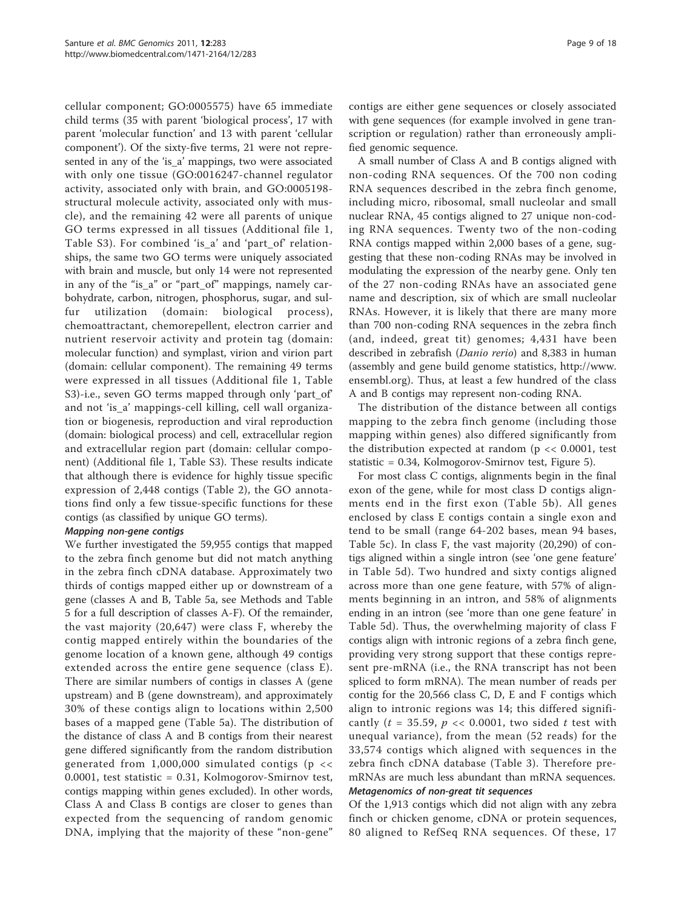cellular component; GO:0005575) have 65 immediate child terms (35 with parent 'biological process', 17 with parent 'molecular function' and 13 with parent 'cellular component'). Of the sixty-five terms, 21 were not represented in any of the 'is\_a' mappings, two were associated with only one tissue (GO:0016247-channel regulator activity, associated only with brain, and GO:0005198 structural molecule activity, associated only with muscle), and the remaining 42 were all parents of unique GO terms expressed in all tissues (Additional file [1](#page-17-0), Table S3). For combined 'is\_a' and 'part\_of' relationships, the same two GO terms were uniquely associated with brain and muscle, but only 14 were not represented in any of the "is\_a" or "part\_of" mappings, namely carbohydrate, carbon, nitrogen, phosphorus, sugar, and sulfur utilization (domain: biological process), chemoattractant, chemorepellent, electron carrier and nutrient reservoir activity and protein tag (domain: molecular function) and symplast, virion and virion part (domain: cellular component). The remaining 49 terms were expressed in all tissues (Additional file [1](#page-17-0), Table S3)-i.e., seven GO terms mapped through only 'part\_of' and not 'is\_a' mappings-cell killing, cell wall organization or biogenesis, reproduction and viral reproduction (domain: biological process) and cell, extracellular region and extracellular region part (domain: cellular component) (Additional file [1](#page-17-0), Table S3). These results indicate that although there is evidence for highly tissue specific expression of 2,448 contigs (Table [2](#page-3-0)), the GO annotations find only a few tissue-specific functions for these contigs (as classified by unique GO terms).

#### Mapping non-gene contigs

We further investigated the 59,955 contigs that mapped to the zebra finch genome but did not match anything in the zebra finch cDNA database. Approximately two thirds of contigs mapped either up or downstream of a gene (classes A and B, Table [5a](#page-10-0), see Methods and Table [5](#page-10-0) for a full description of classes A-F). Of the remainder, the vast majority (20,647) were class F, whereby the contig mapped entirely within the boundaries of the genome location of a known gene, although 49 contigs extended across the entire gene sequence (class E). There are similar numbers of contigs in classes A (gene upstream) and B (gene downstream), and approximately 30% of these contigs align to locations within 2,500 bases of a mapped gene (Table [5a](#page-10-0)). The distribution of the distance of class A and B contigs from their nearest gene differed significantly from the random distribution generated from 1,000,000 simulated contigs (p << 0.0001, test statistic = 0.31, Kolmogorov-Smirnov test, contigs mapping within genes excluded). In other words, Class A and Class B contigs are closer to genes than expected from the sequencing of random genomic DNA, implying that the majority of these "non-gene"

contigs are either gene sequences or closely associated with gene sequences (for example involved in gene transcription or regulation) rather than erroneously amplified genomic sequence.

A small number of Class A and B contigs aligned with non-coding RNA sequences. Of the 700 non coding RNA sequences described in the zebra finch genome, including micro, ribosomal, small nucleolar and small nuclear RNA, 45 contigs aligned to 27 unique non-coding RNA sequences. Twenty two of the non-coding RNA contigs mapped within 2,000 bases of a gene, suggesting that these non-coding RNAs may be involved in modulating the expression of the nearby gene. Only ten of the 27 non-coding RNAs have an associated gene name and description, six of which are small nucleolar RNAs. However, it is likely that there are many more than 700 non-coding RNA sequences in the zebra finch (and, indeed, great tit) genomes; 4,431 have been described in zebrafish (Danio rerio) and 8,383 in human (assembly and gene build genome statistics, [http://www.](http://www.ensembl.org) [ensembl.org\)](http://www.ensembl.org). Thus, at least a few hundred of the class A and B contigs may represent non-coding RNA.

The distribution of the distance between all contigs mapping to the zebra finch genome (including those mapping within genes) also differed significantly from the distribution expected at random ( $p \ll 0.0001$ , test statistic = 0.34, Kolmogorov-Smirnov test, Figure [5\)](#page-11-0).

For most class C contigs, alignments begin in the final exon of the gene, while for most class D contigs alignments end in the first exon (Table [5b\)](#page-10-0). All genes enclosed by class E contigs contain a single exon and tend to be small (range 64-202 bases, mean 94 bases, Table [5c](#page-10-0)). In class F, the vast majority (20,290) of contigs aligned within a single intron (see 'one gene feature' in Table [5d\)](#page-10-0). Two hundred and sixty contigs aligned across more than one gene feature, with 57% of alignments beginning in an intron, and 58% of alignments ending in an intron (see 'more than one gene feature' in Table [5d\)](#page-10-0). Thus, the overwhelming majority of class F contigs align with intronic regions of a zebra finch gene, providing very strong support that these contigs represent pre-mRNA (i.e., the RNA transcript has not been spliced to form mRNA). The mean number of reads per contig for the 20,566 class C, D, E and F contigs which align to intronic regions was 14; this differed significantly ( $t = 35.59$ ,  $p \ll 0.0001$ , two sided t test with unequal variance), from the mean (52 reads) for the 33,574 contigs which aligned with sequences in the zebra finch cDNA database (Table [3\)](#page-4-0). Therefore premRNAs are much less abundant than mRNA sequences. Metagenomics of non-great tit sequences

Of the 1,913 contigs which did not align with any zebra finch or chicken genome, cDNA or protein sequences, 80 aligned to RefSeq RNA sequences. Of these, 17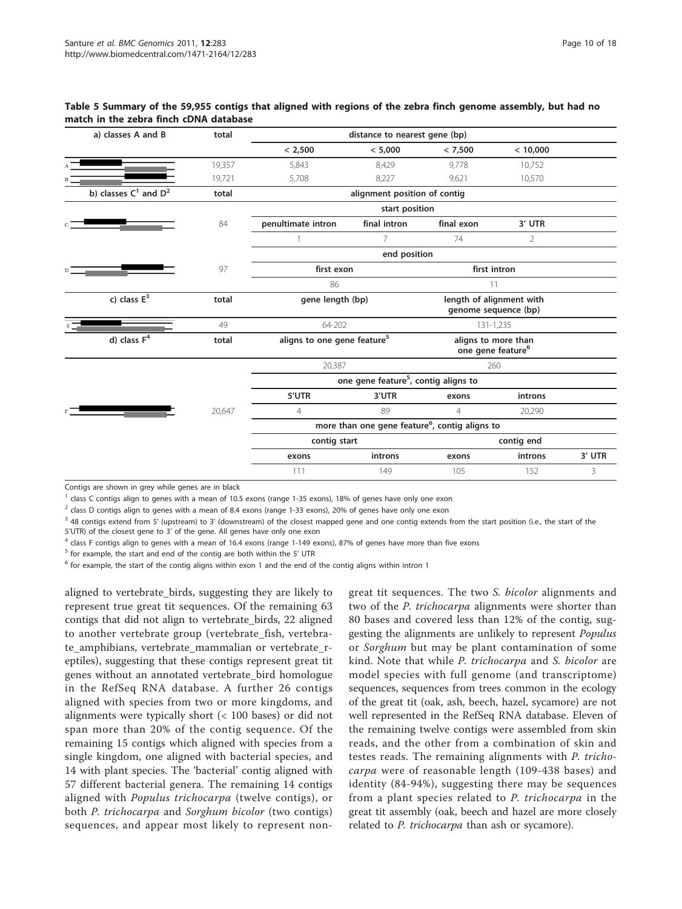<span id="page-10-0"></span>

| Table 5 Summary of the 59,955 contigs that aligned with regions of the zebra finch genome assembly, but had no |  |
|----------------------------------------------------------------------------------------------------------------|--|
| match in the zebra finch cDNA database                                                                         |  |

| a) classes A and B         | total  | distance to nearest gene (bp)                    |                              |                                                            |                |        |
|----------------------------|--------|--------------------------------------------------|------------------------------|------------------------------------------------------------|----------------|--------|
|                            |        | < 2,500                                          | < 5,000                      | < 7,500                                                    | < 10,000       |        |
|                            | 19,357 | 5,843                                            | 8,429                        | 9,778                                                      | 10,752         |        |
|                            | 19,721 | 5,708                                            | 8,227                        | 9,621                                                      | 10,570         |        |
| b) classes $C^1$ and $D^2$ | total  |                                                  | alignment position of contig |                                                            |                |        |
|                            |        | start position                                   |                              |                                                            |                |        |
|                            | 84     | penultimate intron                               | final intron                 | final exon                                                 | 3' UTR         |        |
|                            |        |                                                  | 7                            | 74                                                         | $\overline{2}$ |        |
|                            |        |                                                  | end position                 |                                                            |                |        |
|                            | 97     | first exon                                       |                              | first intron                                               |                |        |
|                            |        | 86                                               |                              | 11                                                         |                |        |
| c) class $E^3$             | total  | gene length (bp)                                 |                              | length of alignment with<br>genome sequence (bp)           |                |        |
|                            | 49     | 64-202                                           |                              | 131-1,235                                                  |                |        |
| d) class $F^4$             | total  | aligns to one gene feature <sup>5</sup>          |                              | aligns to more than<br>one gene feature <sup>6</sup>       |                |        |
|                            |        | 20,387                                           |                              | 260                                                        |                |        |
|                            |        | one gene feature <sup>5</sup> , contig aligns to |                              |                                                            |                |        |
|                            |        | 5'UTR                                            | 3'UTR                        | exons                                                      | introns        |        |
|                            | 20,647 | $\overline{4}$                                   | 89                           | $\overline{4}$                                             | 20,290         |        |
|                            |        |                                                  |                              | more than one gene feature <sup>6</sup> , contig aligns to |                |        |
|                            |        | contig start                                     |                              |                                                            | contig end     |        |
|                            |        | exons                                            | introns                      | exons                                                      | introns        | 3' UTR |
|                            |        | 111                                              | 149                          | 105                                                        | 152            | 3      |

Contigs are shown in grey while genes are in black

<sup>1</sup> class C contigs align to genes with a mean of 10.5 exons (range 1-35 exons), 18% of genes have only one exon

 $2$  class D contigs align to genes with a mean of 8.4 exons (range 1-33 exons), 20% of genes have only one exon

<sup>3</sup> 48 contigs extend from 5' (upstream) to 3' (downstream) of the closest mapped gene and one contig extends from the start position (i.e., the start of the 5'UTR) of the closest gene to 3' of the gene. All genes have only one exon

<sup>4</sup> class F contigs align to genes with a mean of 16.4 exons (range 1-149 exons), 87% of genes have more than five exons

 $5$  for example, the start and end of the contig are both within the  $5'$  UTR

<sup>6</sup> for example, the start of the contig aligns within exon 1 and the end of the contig aligns within intron 1

aligned to vertebrate\_birds, suggesting they are likely to represent true great tit sequences. Of the remaining 63 contigs that did not align to vertebrate\_birds, 22 aligned to another vertebrate group (vertebrate\_fish, vertebrate\_amphibians, vertebrate\_mammalian or vertebrate\_reptiles), suggesting that these contigs represent great tit genes without an annotated vertebrate\_bird homologue in the RefSeq RNA database. A further 26 contigs aligned with species from two or more kingdoms, and alignments were typically short (< 100 bases) or did not span more than 20% of the contig sequence. Of the remaining 15 contigs which aligned with species from a single kingdom, one aligned with bacterial species, and 14 with plant species. The 'bacterial' contig aligned with 57 different bacterial genera. The remaining 14 contigs aligned with Populus trichocarpa (twelve contigs), or both P. trichocarpa and Sorghum bicolor (two contigs) sequences, and appear most likely to represent non-

great tit sequences. The two S. bicolor alignments and two of the *P. trichocarpa* alignments were shorter than 80 bases and covered less than 12% of the contig, suggesting the alignments are unlikely to represent Populus or Sorghum but may be plant contamination of some kind. Note that while P. trichocarpa and S. bicolor are model species with full genome (and transcriptome) sequences, sequences from trees common in the ecology of the great tit (oak, ash, beech, hazel, sycamore) are not well represented in the RefSeq RNA database. Eleven of the remaining twelve contigs were assembled from skin reads, and the other from a combination of skin and testes reads. The remaining alignments with P. trichocarpa were of reasonable length (109-438 bases) and identity (84-94%), suggesting there may be sequences from a plant species related to P. trichocarpa in the great tit assembly (oak, beech and hazel are more closely related to *P. trichocarpa* than ash or sycamore).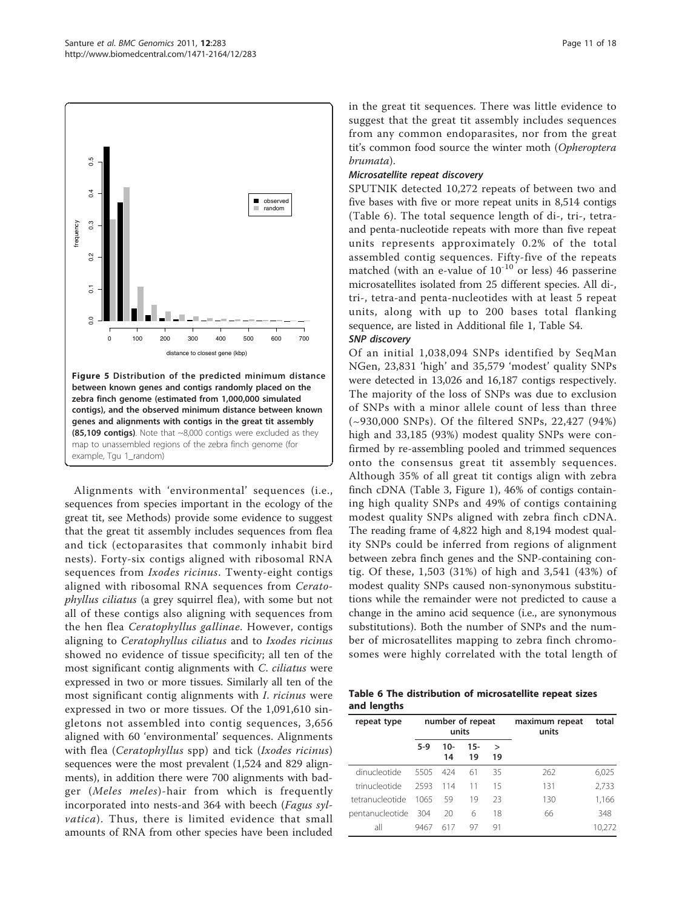<span id="page-11-0"></span>

(85,109 contigs). Note that ~8,000 contigs were excluded as they map to unassembled regions of the zebra finch genome (for example, Tgu 1\_random)

Alignments with 'environmental' sequences (i.e., sequences from species important in the ecology of the great tit, see Methods) provide some evidence to suggest that the great tit assembly includes sequences from flea and tick (ectoparasites that commonly inhabit bird nests). Forty-six contigs aligned with ribosomal RNA sequences from Ixodes ricinus. Twenty-eight contigs aligned with ribosomal RNA sequences from Ceratophyllus ciliatus (a grey squirrel flea), with some but not all of these contigs also aligning with sequences from the hen flea Ceratophyllus gallinae. However, contigs aligning to Ceratophyllus ciliatus and to Ixodes ricinus showed no evidence of tissue specificity; all ten of the most significant contig alignments with C. ciliatus were expressed in two or more tissues. Similarly all ten of the most significant contig alignments with *I. ricinus* were expressed in two or more tissues. Of the 1,091,610 singletons not assembled into contig sequences, 3,656 aligned with 60 'environmental' sequences. Alignments with flea (*Ceratophyllus* spp) and tick (*Ixodes ricinus*) sequences were the most prevalent (1,524 and 829 alignments), in addition there were 700 alignments with badger (Meles meles)-hair from which is frequently incorporated into nests-and 364 with beech (Fagus sylvatica). Thus, there is limited evidence that small amounts of RNA from other species have been included in the great tit sequences. There was little evidence to suggest that the great tit assembly includes sequences from any common endoparasites, nor from the great tit's common food source the winter moth (Opheroptera brumata).

#### Microsatellite repeat discovery

SPUTNIK detected 10,272 repeats of between two and five bases with five or more repeat units in 8,514 contigs (Table 6). The total sequence length of di-, tri-, tetraand penta-nucleotide repeats with more than five repeat units represents approximately 0.2% of the total assembled contig sequences. Fifty-five of the repeats matched (with an e-value of  $10^{-10}$  or less) 46 passerine microsatellites isolated from 25 different species. All di-, tri-, tetra-and penta-nucleotides with at least 5 repeat units, along with up to 200 bases total flanking sequence, are listed in Additional file [1,](#page-17-0) Table S4. SNP discovery

Of an initial 1,038,094 SNPs identified by SeqMan NGen, 23,831 'high' and 35,579 'modest' quality SNPs were detected in 13,026 and 16,187 contigs respectively. The majority of the loss of SNPs was due to exclusion of SNPs with a minor allele count of less than three (~930,000 SNPs). Of the filtered SNPs, 22,427 (94%) high and 33,185 (93%) modest quality SNPs were confirmed by re-assembling pooled and trimmed sequences onto the consensus great tit assembly sequences. Although 35% of all great tit contigs align with zebra finch cDNA (Table [3](#page-4-0), Figure [1\)](#page-4-0), 46% of contigs containing high quality SNPs and 49% of contigs containing modest quality SNPs aligned with zebra finch cDNA. The reading frame of 4,822 high and 8,194 modest quality SNPs could be inferred from regions of alignment between zebra finch genes and the SNP-containing contig. Of these, 1,503 (31%) of high and 3,541 (43%) of modest quality SNPs caused non-synonymous substitutions while the remainder were not predicted to cause a change in the amino acid sequence (i.e., are synonymous substitutions). Both the number of SNPs and the number of microsatellites mapping to zebra finch chromosomes were highly correlated with the total length of

Table 6 The distribution of microsatellite repeat sizes and lengths

| repeat type     |       | number of repeat<br>units |              |              | maximum repeat<br>units | total  |
|-----------------|-------|---------------------------|--------------|--------------|-------------------------|--------|
|                 | $5-9$ | 10-<br>14                 | $15 -$<br>19 | $\geq$<br>19 |                         |        |
| dinucleotide    | 5505  | 424                       | 61           | 35           | 262                     | 6,025  |
| trinucleotide   | 2593  | 114                       | 11           | 15           | 131                     | 2,733  |
| tetranucleotide | 1065  | 59                        | 19           | 23           | 130                     | 1,166  |
| pentanucleotide | 304   | 20                        | 6            | 18           | 66                      | 348    |
| all             | 9467  | 617                       | 97           | 91           |                         | 10.272 |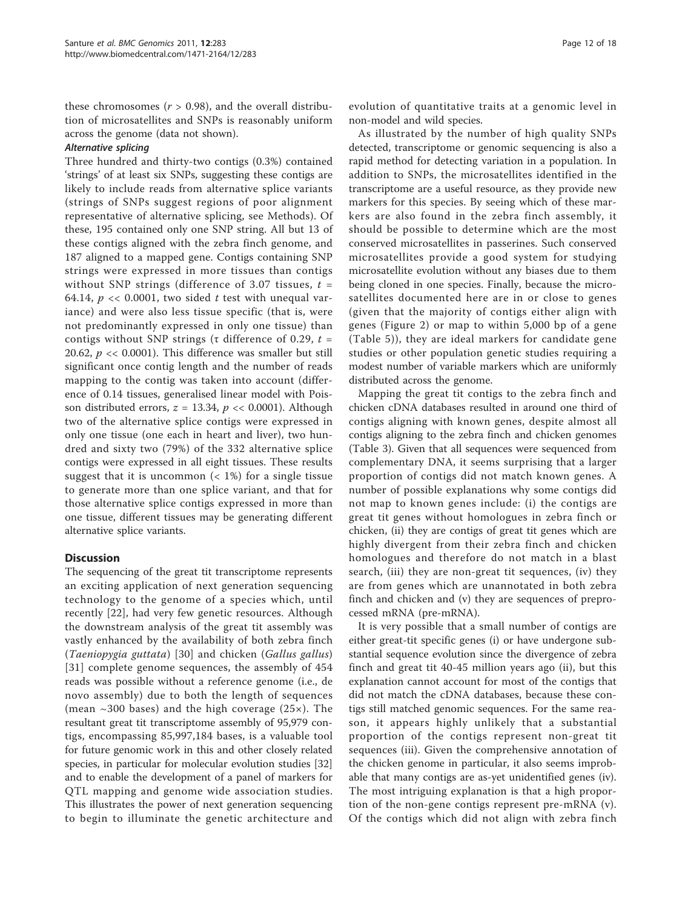these chromosomes ( $r > 0.98$ ), and the overall distribution of microsatellites and SNPs is reasonably uniform across the genome (data not shown).

#### Alternative splicing

Three hundred and thirty-two contigs (0.3%) contained 'strings' of at least six SNPs, suggesting these contigs are likely to include reads from alternative splice variants (strings of SNPs suggest regions of poor alignment representative of alternative splicing, see Methods). Of these, 195 contained only one SNP string. All but 13 of these contigs aligned with the zebra finch genome, and 187 aligned to a mapped gene. Contigs containing SNP strings were expressed in more tissues than contigs without SNP strings (difference of 3.07 tissues,  $t =$ 64.14,  $p \ll 0.0001$ , two sided t test with unequal variance) and were also less tissue specific (that is, were not predominantly expressed in only one tissue) than contigs without SNP strings (τ difference of 0.29,  $t =$ 20.62,  $p \ll 0.0001$ ). This difference was smaller but still significant once contig length and the number of reads mapping to the contig was taken into account (difference of 0.14 tissues, generalised linear model with Poisson distributed errors,  $z = 13.34$ ,  $p \ll 0.0001$ ). Although two of the alternative splice contigs were expressed in only one tissue (one each in heart and liver), two hundred and sixty two (79%) of the 332 alternative splice contigs were expressed in all eight tissues. These results suggest that it is uncommon  $($  1% $)$  for a single tissue to generate more than one splice variant, and that for those alternative splice contigs expressed in more than one tissue, different tissues may be generating different alternative splice variants.

#### **Discussion**

The sequencing of the great tit transcriptome represents an exciting application of next generation sequencing technology to the genome of a species which, until recently [[22\]](#page-18-0), had very few genetic resources. Although the downstream analysis of the great tit assembly was vastly enhanced by the availability of both zebra finch (Taeniopygia guttata) [[30](#page-18-0)] and chicken (Gallus gallus) [[31](#page-18-0)] complete genome sequences, the assembly of 454 reads was possible without a reference genome (i.e., de novo assembly) due to both the length of sequences (mean  $\sim$  300 bases) and the high coverage (25 $\times$ ). The resultant great tit transcriptome assembly of 95,979 contigs, encompassing 85,997,184 bases, is a valuable tool for future genomic work in this and other closely related species, in particular for molecular evolution studies [[32](#page-18-0)] and to enable the development of a panel of markers for QTL mapping and genome wide association studies. This illustrates the power of next generation sequencing to begin to illuminate the genetic architecture and

evolution of quantitative traits at a genomic level in non-model and wild species.

As illustrated by the number of high quality SNPs detected, transcriptome or genomic sequencing is also a rapid method for detecting variation in a population. In addition to SNPs, the microsatellites identified in the transcriptome are a useful resource, as they provide new markers for this species. By seeing which of these markers are also found in the zebra finch assembly, it should be possible to determine which are the most conserved microsatellites in passerines. Such conserved microsatellites provide a good system for studying microsatellite evolution without any biases due to them being cloned in one species. Finally, because the microsatellites documented here are in or close to genes (given that the majority of contigs either align with genes (Figure [2\)](#page-5-0) or map to within 5,000 bp of a gene (Table [5\)](#page-10-0)), they are ideal markers for candidate gene studies or other population genetic studies requiring a modest number of variable markers which are uniformly distributed across the genome.

Mapping the great tit contigs to the zebra finch and chicken cDNA databases resulted in around one third of contigs aligning with known genes, despite almost all contigs aligning to the zebra finch and chicken genomes (Table [3\)](#page-4-0). Given that all sequences were sequenced from complementary DNA, it seems surprising that a larger proportion of contigs did not match known genes. A number of possible explanations why some contigs did not map to known genes include: (i) the contigs are great tit genes without homologues in zebra finch or chicken, (ii) they are contigs of great tit genes which are highly divergent from their zebra finch and chicken homologues and therefore do not match in a blast search, (iii) they are non-great tit sequences, (iv) they are from genes which are unannotated in both zebra finch and chicken and (v) they are sequences of preprocessed mRNA (pre-mRNA).

It is very possible that a small number of contigs are either great-tit specific genes (i) or have undergone substantial sequence evolution since the divergence of zebra finch and great tit 40-45 million years ago (ii), but this explanation cannot account for most of the contigs that did not match the cDNA databases, because these contigs still matched genomic sequences. For the same reason, it appears highly unlikely that a substantial proportion of the contigs represent non-great tit sequences (iii). Given the comprehensive annotation of the chicken genome in particular, it also seems improbable that many contigs are as-yet unidentified genes (iv). The most intriguing explanation is that a high proportion of the non-gene contigs represent pre-mRNA (v). Of the contigs which did not align with zebra finch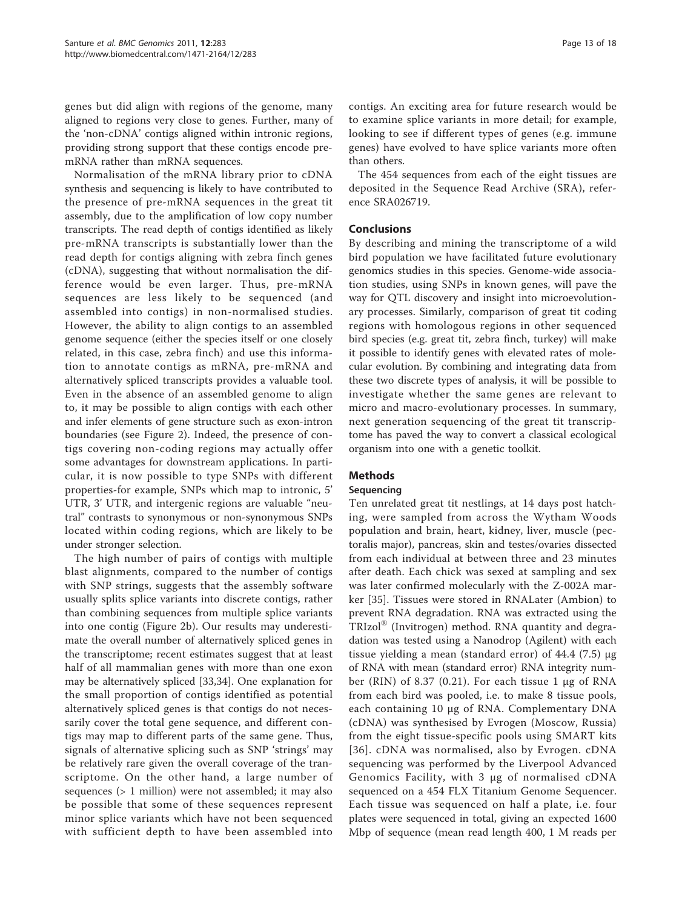genes but did align with regions of the genome, many aligned to regions very close to genes. Further, many of the 'non-cDNA' contigs aligned within intronic regions, providing strong support that these contigs encode premRNA rather than mRNA sequences.

Normalisation of the mRNA library prior to cDNA synthesis and sequencing is likely to have contributed to the presence of pre-mRNA sequences in the great tit assembly, due to the amplification of low copy number transcripts. The read depth of contigs identified as likely pre-mRNA transcripts is substantially lower than the read depth for contigs aligning with zebra finch genes (cDNA), suggesting that without normalisation the difference would be even larger. Thus, pre-mRNA sequences are less likely to be sequenced (and assembled into contigs) in non-normalised studies. However, the ability to align contigs to an assembled genome sequence (either the species itself or one closely related, in this case, zebra finch) and use this information to annotate contigs as mRNA, pre-mRNA and alternatively spliced transcripts provides a valuable tool. Even in the absence of an assembled genome to align to, it may be possible to align contigs with each other and infer elements of gene structure such as exon-intron boundaries (see Figure [2](#page-5-0)). Indeed, the presence of contigs covering non-coding regions may actually offer some advantages for downstream applications. In particular, it is now possible to type SNPs with different properties-for example, SNPs which map to intronic, 5' UTR, 3' UTR, and intergenic regions are valuable "neutral" contrasts to synonymous or non-synonymous SNPs located within coding regions, which are likely to be under stronger selection.

The high number of pairs of contigs with multiple blast alignments, compared to the number of contigs with SNP strings, suggests that the assembly software usually splits splice variants into discrete contigs, rather than combining sequences from multiple splice variants into one contig (Figure [2b\)](#page-5-0). Our results may underestimate the overall number of alternatively spliced genes in the transcriptome; recent estimates suggest that at least half of all mammalian genes with more than one exon may be alternatively spliced [\[33,34\]](#page-18-0). One explanation for the small proportion of contigs identified as potential alternatively spliced genes is that contigs do not necessarily cover the total gene sequence, and different contigs may map to different parts of the same gene. Thus, signals of alternative splicing such as SNP 'strings' may be relatively rare given the overall coverage of the transcriptome. On the other hand, a large number of sequences (> 1 million) were not assembled; it may also be possible that some of these sequences represent minor splice variants which have not been sequenced with sufficient depth to have been assembled into contigs. An exciting area for future research would be to examine splice variants in more detail; for example, looking to see if different types of genes (e.g. immune genes) have evolved to have splice variants more often than others.

The 454 sequences from each of the eight tissues are deposited in the Sequence Read Archive (SRA), reference SRA026719.

#### Conclusions

By describing and mining the transcriptome of a wild bird population we have facilitated future evolutionary genomics studies in this species. Genome-wide association studies, using SNPs in known genes, will pave the way for QTL discovery and insight into microevolutionary processes. Similarly, comparison of great tit coding regions with homologous regions in other sequenced bird species (e.g. great tit, zebra finch, turkey) will make it possible to identify genes with elevated rates of molecular evolution. By combining and integrating data from these two discrete types of analysis, it will be possible to investigate whether the same genes are relevant to micro and macro-evolutionary processes. In summary, next generation sequencing of the great tit transcriptome has paved the way to convert a classical ecological organism into one with a genetic toolkit.

#### Methods

#### Sequencing

Ten unrelated great tit nestlings, at 14 days post hatching, were sampled from across the Wytham Woods population and brain, heart, kidney, liver, muscle (pectoralis major), pancreas, skin and testes/ovaries dissected from each individual at between three and 23 minutes after death. Each chick was sexed at sampling and sex was later confirmed molecularly with the Z-002A marker [[35](#page-18-0)]. Tissues were stored in RNALater (Ambion) to prevent RNA degradation. RNA was extracted using the TRIzol® (Invitrogen) method. RNA quantity and degradation was tested using a Nanodrop (Agilent) with each tissue yielding a mean (standard error) of 44.4 (7.5) μg of RNA with mean (standard error) RNA integrity number (RIN) of 8.37 (0.21). For each tissue 1  $\mu$ g of RNA from each bird was pooled, i.e. to make 8 tissue pools, each containing 10 μg of RNA. Complementary DNA (cDNA) was synthesised by Evrogen (Moscow, Russia) from the eight tissue-specific pools using SMART kits [[36\]](#page-18-0). cDNA was normalised, also by Evrogen. cDNA sequencing was performed by the Liverpool Advanced Genomics Facility, with 3 μg of normalised cDNA sequenced on a 454 FLX Titanium Genome Sequencer. Each tissue was sequenced on half a plate, i.e. four plates were sequenced in total, giving an expected 1600 Mbp of sequence (mean read length 400, 1 M reads per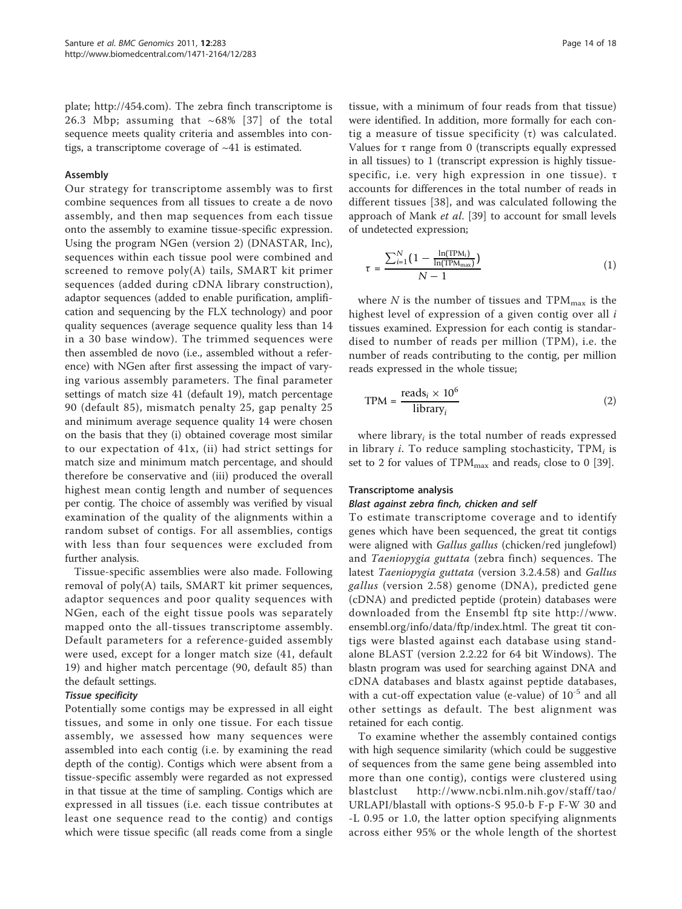plate;<http://454.com>). The zebra finch transcriptome is 26.3 Mbp; assuming that  $~68\%$  [[37](#page-18-0)] of the total sequence meets quality criteria and assembles into contigs, a transcriptome coverage of  $~1$  is estimated.

#### Assembly

Our strategy for transcriptome assembly was to first combine sequences from all tissues to create a de novo assembly, and then map sequences from each tissue onto the assembly to examine tissue-specific expression. Using the program NGen (version 2) (DNASTAR, Inc), sequences within each tissue pool were combined and screened to remove poly(A) tails, SMART kit primer sequences (added during cDNA library construction), adaptor sequences (added to enable purification, amplification and sequencing by the FLX technology) and poor quality sequences (average sequence quality less than 14 in a 30 base window). The trimmed sequences were then assembled de novo (i.e., assembled without a reference) with NGen after first assessing the impact of varying various assembly parameters. The final parameter settings of match size 41 (default 19), match percentage 90 (default 85), mismatch penalty 25, gap penalty 25 and minimum average sequence quality 14 were chosen on the basis that they (i) obtained coverage most similar to our expectation of 41x, (ii) had strict settings for match size and minimum match percentage, and should therefore be conservative and (iii) produced the overall highest mean contig length and number of sequences per contig. The choice of assembly was verified by visual examination of the quality of the alignments within a random subset of contigs. For all assemblies, contigs with less than four sequences were excluded from further analysis.

Tissue-specific assemblies were also made. Following removal of poly(A) tails, SMART kit primer sequences, adaptor sequences and poor quality sequences with NGen, each of the eight tissue pools was separately mapped onto the all-tissues transcriptome assembly. Default parameters for a reference-guided assembly were used, except for a longer match size (41, default 19) and higher match percentage (90, default 85) than the default settings.

#### Tissue specificity

Potentially some contigs may be expressed in all eight tissues, and some in only one tissue. For each tissue assembly, we assessed how many sequences were assembled into each contig (i.e. by examining the read depth of the contig). Contigs which were absent from a tissue-specific assembly were regarded as not expressed in that tissue at the time of sampling. Contigs which are expressed in all tissues (i.e. each tissue contributes at least one sequence read to the contig) and contigs which were tissue specific (all reads come from a single

tissue, with a minimum of four reads from that tissue) were identified. In addition, more formally for each contig a measure of tissue specificity (τ) was calculated. Values for  $\tau$  range from 0 (transcripts equally expressed in all tissues) to 1 (transcript expression is highly tissuespecific, i.e. very high expression in one tissue). τ accounts for differences in the total number of reads in different tissues [\[38](#page-18-0)], and was calculated following the approach of Mank et al. [\[39](#page-18-0)] to account for small levels of undetected expression;

$$
\tau = \frac{\sum_{i=1}^{N} \left( 1 - \frac{\ln(\text{TPM}_i)}{\ln(\text{TPM}_{\text{max}})} \right)}{N - 1}
$$
(1)

where N is the number of tissues and  $TPM<sub>max</sub>$  is the highest level of expression of a given contig over all  $i$ tissues examined. Expression for each contig is standardised to number of reads per million (TPM), i.e. the number of reads contributing to the contig, per million reads expressed in the whole tissue;

$$
TPM = \frac{\text{reads}_i \times 10^6}{\text{library}_i} \tag{2}
$$

where library<sub>i</sub> is the total number of reads expressed in library  $i$ . To reduce sampling stochasticity, TPM $_i$  is set to 2 for values of TPM<sub>max</sub> and reads<sub>i</sub> close to 0 [\[39](#page-18-0)].

#### Transcriptome analysis

#### Blast against zebra finch, chicken and self

To estimate transcriptome coverage and to identify genes which have been sequenced, the great tit contigs were aligned with Gallus gallus (chicken/red junglefowl) and Taeniopygia guttata (zebra finch) sequences. The latest Taeniopygia guttata (version 3.2.4.58) and Gallus gallus (version 2.58) genome (DNA), predicted gene (cDNA) and predicted peptide (protein) databases were downloaded from the Ensembl ftp site [http://www.](http://www.ensembl.org/info/data/ftp/index.html) [ensembl.org/info/data/ftp/index.html](http://www.ensembl.org/info/data/ftp/index.html). The great tit contigs were blasted against each database using standalone BLAST (version 2.2.22 for 64 bit Windows). The blastn program was used for searching against DNA and cDNA databases and blastx against peptide databases, with a cut-off expectation value (e-value) of  $10^{-5}$  and all other settings as default. The best alignment was retained for each contig.

To examine whether the assembly contained contigs with high sequence similarity (which could be suggestive of sequences from the same gene being assembled into more than one contig), contigs were clustered using blastclust [http://www.ncbi.nlm.nih.gov/staff/tao/](http://www.ncbi.nlm.nih.gov/staff/tao/URLAPI/blastall) [URLAPI/blastall](http://www.ncbi.nlm.nih.gov/staff/tao/URLAPI/blastall) with options-S 95.0-b F-p F-W 30 and -L 0.95 or 1.0, the latter option specifying alignments across either 95% or the whole length of the shortest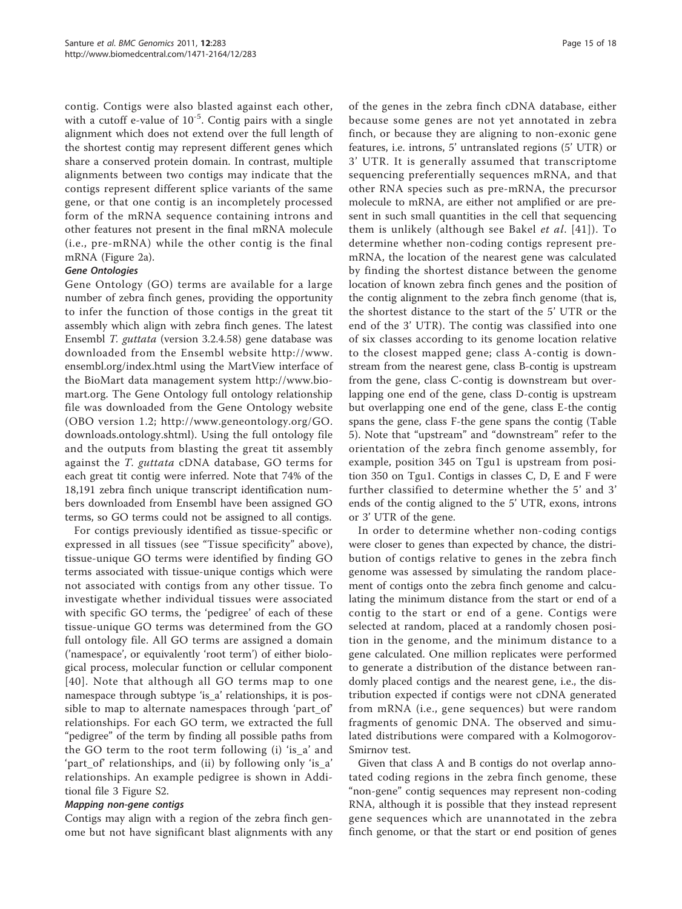contig. Contigs were also blasted against each other, with a cutoff e-value of  $10^{-5}$ . Contig pairs with a single alignment which does not extend over the full length of the shortest contig may represent different genes which share a conserved protein domain. In contrast, multiple alignments between two contigs may indicate that the contigs represent different splice variants of the same gene, or that one contig is an incompletely processed form of the mRNA sequence containing introns and other features not present in the final mRNA molecule (i.e., pre-mRNA) while the other contig is the final mRNA (Figure [2a\)](#page-5-0).

#### Gene Ontologies

Gene Ontology (GO) terms are available for a large number of zebra finch genes, providing the opportunity to infer the function of those contigs in the great tit assembly which align with zebra finch genes. The latest Ensembl T. guttata (version 3.2.4.58) gene database was downloaded from the Ensembl website [http://www.](http://www.ensembl.org/index.html) [ensembl.org/index.html](http://www.ensembl.org/index.html) using the MartView interface of the BioMart data management system [http://www.bio](http://www.biomart.org)[mart.org](http://www.biomart.org). The Gene Ontology full ontology relationship file was downloaded from the Gene Ontology website (OBO version 1.2; [http://www.geneontology.org/GO.](http://www.geneontology.org/GO.downloads.ontology.shtml) [downloads.ontology.shtml\)](http://www.geneontology.org/GO.downloads.ontology.shtml). Using the full ontology file and the outputs from blasting the great tit assembly against the T. guttata cDNA database, GO terms for each great tit contig were inferred. Note that 74% of the 18,191 zebra finch unique transcript identification numbers downloaded from Ensembl have been assigned GO terms, so GO terms could not be assigned to all contigs.

For contigs previously identified as tissue-specific or expressed in all tissues (see "Tissue specificity" above), tissue-unique GO terms were identified by finding GO terms associated with tissue-unique contigs which were not associated with contigs from any other tissue. To investigate whether individual tissues were associated with specific GO terms, the 'pedigree' of each of these tissue-unique GO terms was determined from the GO full ontology file. All GO terms are assigned a domain ('namespace', or equivalently 'root term') of either biological process, molecular function or cellular component [[40](#page-18-0)]. Note that although all GO terms map to one namespace through subtype 'is\_a' relationships, it is possible to map to alternate namespaces through 'part\_of' relationships. For each GO term, we extracted the full "pedigree" of the term by finding all possible paths from the GO term to the root term following (i) 'is\_a' and 'part\_of' relationships, and (ii) by following only 'is\_a' relationships. An example pedigree is shown in Additional file [3](#page-17-0) Figure S2.

#### Mapping non-gene contigs

Contigs may align with a region of the zebra finch genome but not have significant blast alignments with any

of the genes in the zebra finch cDNA database, either because some genes are not yet annotated in zebra finch, or because they are aligning to non-exonic gene features, i.e. introns, 5' untranslated regions (5' UTR) or 3' UTR. It is generally assumed that transcriptome sequencing preferentially sequences mRNA, and that other RNA species such as pre-mRNA, the precursor molecule to mRNA, are either not amplified or are present in such small quantities in the cell that sequencing them is unlikely (although see Bakel et al. [[41](#page-18-0)]). To determine whether non-coding contigs represent premRNA, the location of the nearest gene was calculated by finding the shortest distance between the genome location of known zebra finch genes and the position of the contig alignment to the zebra finch genome (that is, the shortest distance to the start of the 5' UTR or the end of the 3' UTR). The contig was classified into one of six classes according to its genome location relative to the closest mapped gene; class A-contig is downstream from the nearest gene, class B-contig is upstream from the gene, class C-contig is downstream but overlapping one end of the gene, class D-contig is upstream but overlapping one end of the gene, class E-the contig spans the gene, class F-the gene spans the contig (Table [5\)](#page-10-0). Note that "upstream" and "downstream" refer to the orientation of the zebra finch genome assembly, for example, position 345 on Tgu1 is upstream from position 350 on Tgu1. Contigs in classes C, D, E and F were further classified to determine whether the 5' and 3' ends of the contig aligned to the 5' UTR, exons, introns or 3' UTR of the gene.

In order to determine whether non-coding contigs were closer to genes than expected by chance, the distribution of contigs relative to genes in the zebra finch genome was assessed by simulating the random placement of contigs onto the zebra finch genome and calculating the minimum distance from the start or end of a contig to the start or end of a gene. Contigs were selected at random, placed at a randomly chosen position in the genome, and the minimum distance to a gene calculated. One million replicates were performed to generate a distribution of the distance between randomly placed contigs and the nearest gene, i.e., the distribution expected if contigs were not cDNA generated from mRNA (i.e., gene sequences) but were random fragments of genomic DNA. The observed and simulated distributions were compared with a Kolmogorov-Smirnov test.

Given that class A and B contigs do not overlap annotated coding regions in the zebra finch genome, these "non-gene" contig sequences may represent non-coding RNA, although it is possible that they instead represent gene sequences which are unannotated in the zebra finch genome, or that the start or end position of genes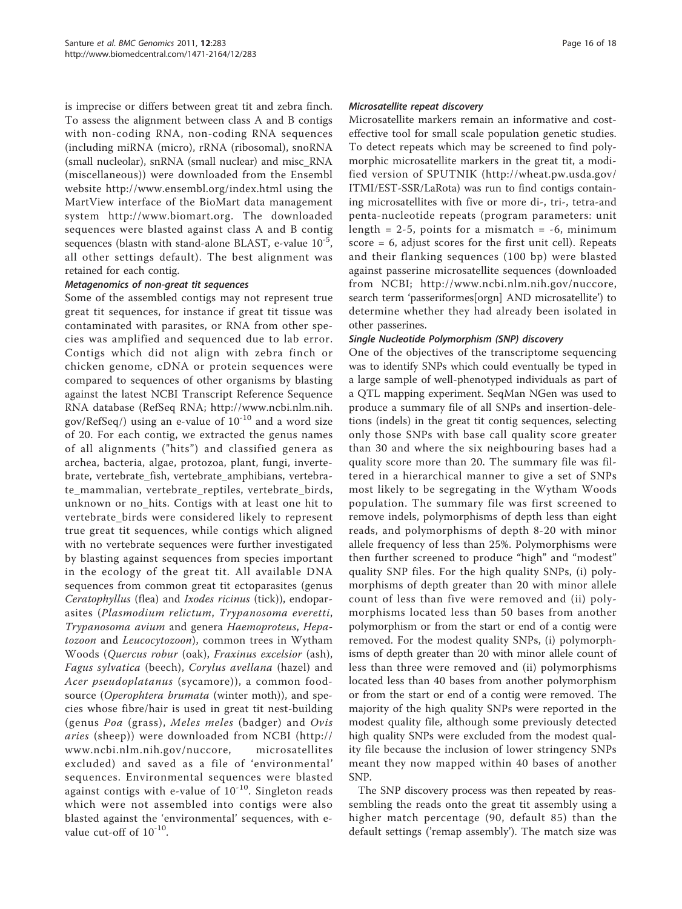is imprecise or differs between great tit and zebra finch. To assess the alignment between class A and B contigs with non-coding RNA, non-coding RNA sequences (including miRNA (micro), rRNA (ribosomal), snoRNA (small nucleolar), snRNA (small nuclear) and misc\_RNA (miscellaneous)) were downloaded from the Ensembl website<http://www.ensembl.org/index.html> using the MartView interface of the BioMart data management system [http://www.biomart.org.](http://www.biomart.org) The downloaded sequences were blasted against class A and B contig sequences (blastn with stand-alone BLAST, e-value  $10^{-5}$ , all other settings default). The best alignment was retained for each contig.

#### Metagenomics of non-great tit sequences

Some of the assembled contigs may not represent true great tit sequences, for instance if great tit tissue was contaminated with parasites, or RNA from other species was amplified and sequenced due to lab error. Contigs which did not align with zebra finch or chicken genome, cDNA or protein sequences were compared to sequences of other organisms by blasting against the latest NCBI Transcript Reference Sequence RNA database (RefSeq RNA; [http://www.ncbi.nlm.nih.](http://www.ncbi.nlm.nih.gov/RefSeq/) [gov/RefSeq/\)](http://www.ncbi.nlm.nih.gov/RefSeq/) using an e-value of  $10^{-10}$  and a word size of 20. For each contig, we extracted the genus names of all alignments ("hits") and classified genera as archea, bacteria, algae, protozoa, plant, fungi, invertebrate, vertebrate\_fish, vertebrate\_amphibians, vertebrate\_mammalian, vertebrate\_reptiles, vertebrate\_birds, unknown or no\_hits. Contigs with at least one hit to vertebrate\_birds were considered likely to represent true great tit sequences, while contigs which aligned with no vertebrate sequences were further investigated by blasting against sequences from species important in the ecology of the great tit. All available DNA sequences from common great tit ectoparasites (genus Ceratophyllus (flea) and Ixodes ricinus (tick)), endoparasites (Plasmodium relictum, Trypanosoma everetti, Trypanosoma avium and genera Haemoproteus, Hepatozoon and Leucocytozoon), common trees in Wytham Woods (Quercus robur (oak), Fraxinus excelsior (ash), Fagus sylvatica (beech), Corylus avellana (hazel) and Acer pseudoplatanus (sycamore)), a common foodsource (Operophtera brumata (winter moth)), and species whose fibre/hair is used in great tit nest-building (genus Poa (grass), Meles meles (badger) and Ovis aries (sheep)) were downloaded from NCBI ([http://](http://www.ncbi.nlm.nih.gov/nuccore) [www.ncbi.nlm.nih.gov/nuccore,](http://www.ncbi.nlm.nih.gov/nuccore) microsatellites excluded) and saved as a file of 'environmental' sequences. Environmental sequences were blasted against contigs with e-value of  $10^{-10}$ . Singleton reads which were not assembled into contigs were also blasted against the 'environmental' sequences, with evalue cut-off of  $10^{-10}$ .

#### Microsatellite repeat discovery

Microsatellite markers remain an informative and costeffective tool for small scale population genetic studies. To detect repeats which may be screened to find polymorphic microsatellite markers in the great tit, a modified version of SPUTNIK ([http://wheat.pw.usda.gov/](http://wheat.pw.usda.gov/ITMI/EST-SSR/LaRota) [ITMI/EST-SSR/LaRota\)](http://wheat.pw.usda.gov/ITMI/EST-SSR/LaRota) was run to find contigs containing microsatellites with five or more di-, tri-, tetra-and penta-nucleotide repeats (program parameters: unit length =  $2-5$ , points for a mismatch =  $-6$ , minimum score = 6, adjust scores for the first unit cell). Repeats and their flanking sequences (100 bp) were blasted against passerine microsatellite sequences (downloaded from NCBI;<http://www.ncbi.nlm.nih.gov/nuccore>, search term 'passeriformes[orgn] AND microsatellite') to determine whether they had already been isolated in other passerines.

#### Single Nucleotide Polymorphism (SNP) discovery

One of the objectives of the transcriptome sequencing was to identify SNPs which could eventually be typed in a large sample of well-phenotyped individuals as part of a QTL mapping experiment. SeqMan NGen was used to produce a summary file of all SNPs and insertion-deletions (indels) in the great tit contig sequences, selecting only those SNPs with base call quality score greater than 30 and where the six neighbouring bases had a quality score more than 20. The summary file was filtered in a hierarchical manner to give a set of SNPs most likely to be segregating in the Wytham Woods population. The summary file was first screened to remove indels, polymorphisms of depth less than eight reads, and polymorphisms of depth 8-20 with minor allele frequency of less than 25%. Polymorphisms were then further screened to produce "high" and "modest" quality SNP files. For the high quality SNPs, (i) polymorphisms of depth greater than 20 with minor allele count of less than five were removed and (ii) polymorphisms located less than 50 bases from another polymorphism or from the start or end of a contig were removed. For the modest quality SNPs, (i) polymorphisms of depth greater than 20 with minor allele count of less than three were removed and (ii) polymorphisms located less than 40 bases from another polymorphism or from the start or end of a contig were removed. The majority of the high quality SNPs were reported in the modest quality file, although some previously detected high quality SNPs were excluded from the modest quality file because the inclusion of lower stringency SNPs meant they now mapped within 40 bases of another SNP.

The SNP discovery process was then repeated by reassembling the reads onto the great tit assembly using a higher match percentage (90, default 85) than the default settings ('remap assembly'). The match size was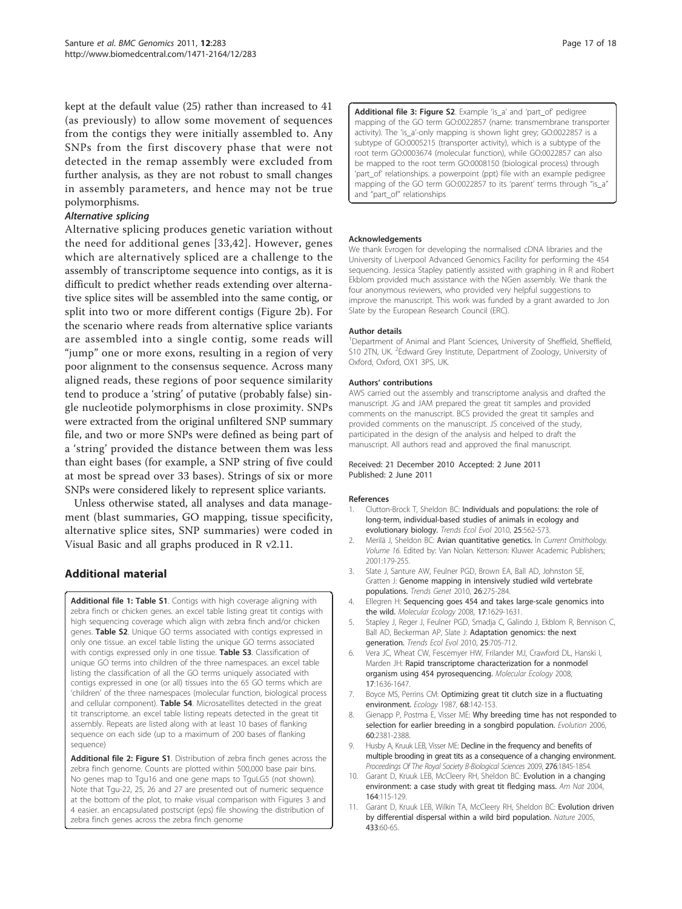<span id="page-17-0"></span>kept at the default value (25) rather than increased to 41 (as previously) to allow some movement of sequences from the contigs they were initially assembled to. Any SNPs from the first discovery phase that were not detected in the remap assembly were excluded from further analysis, as they are not robust to small changes in assembly parameters, and hence may not be true polymorphisms.

#### Alternative splicing

Alternative splicing produces genetic variation without the need for additional genes [[33,42\]](#page-18-0). However, genes which are alternatively spliced are a challenge to the assembly of transcriptome sequence into contigs, as it is difficult to predict whether reads extending over alternative splice sites will be assembled into the same contig, or split into two or more different contigs (Figure [2b\)](#page-5-0). For the scenario where reads from alternative splice variants are assembled into a single contig, some reads will "jump" one or more exons, resulting in a region of very poor alignment to the consensus sequence. Across many aligned reads, these regions of poor sequence similarity tend to produce a 'string' of putative (probably false) single nucleotide polymorphisms in close proximity. SNPs were extracted from the original unfiltered SNP summary file, and two or more SNPs were defined as being part of a 'string' provided the distance between them was less than eight bases (for example, a SNP string of five could at most be spread over 33 bases). Strings of six or more SNPs were considered likely to represent splice variants.

Unless otherwise stated, all analyses and data management (blast summaries, GO mapping, tissue specificity, alternative splice sites, SNP summaries) were coded in Visual Basic and all graphs produced in R v2.11.

#### Additional material

[Additional file 1: T](http://www.biomedcentral.com/content/supplementary/1471-2164-12-283-S1.XLS)able S1. Contigs with high coverage aligning with zebra finch or chicken genes. an excel table listing great tit contigs with high sequencing coverage which align with zebra finch and/or chicken genes. Table S2. Unique GO terms associated with contigs expressed in only one tissue. an excel table listing the unique GO terms associated with contigs expressed only in one tissue. Table S3. Classification of unique GO terms into children of the three namespaces. an excel table listing the classification of all the GO terms uniquely associated with contigs expressed in one (or all) tissues into the 65 GO terms which are 'children' of the three namespaces (molecular function, biological process and cellular component). Table S4. Microsatellites detected in the great tit transcriptome. an excel table listing repeats detected in the great tit assembly. Repeats are listed along with at least 10 bases of flanking sequence on each side (up to a maximum of 200 bases of flanking sequence)

[Additional file 2: F](http://www.biomedcentral.com/content/supplementary/1471-2164-12-283-S2.EPS)igure S1. Distribution of zebra finch genes across the zebra finch genome. Counts are plotted within 500,000 base pair bins. No genes map to Tgu16 and one gene maps to TguLG5 (not shown). Note that Tgu-22, 25, 26 and 27 are presented out of numeric sequence at the bottom of the plot, to make visual comparison with Figures [3](#page-6-0) and [4](#page-7-0) easier. an encapsulated postscript (eps) file showing the distribution of zebra finch genes across the zebra finch genome

[Additional file 3: F](http://www.biomedcentral.com/content/supplementary/1471-2164-12-283-S3.PPT)igure S2. Example 'is a' and 'part of' pedigree mapping of the GO term GO:0022857 (name: transmembrane transporter activity). The 'is\_a'-only mapping is shown light grey; GO:0022857 is a subtype of GO:0005215 (transporter activity), which is a subtype of the root term GO:0003674 (molecular function), while GO:0022857 can also be mapped to the root term GO:0008150 (biological process) through 'part\_of' relationships. a powerpoint (ppt) file with an example pedigree mapping of the GO term GO:0022857 to its 'parent' terms through "is\_a" and "part\_of" relationships

#### Acknowledgements

We thank Evrogen for developing the normalised cDNA libraries and the University of Liverpool Advanced Genomics Facility for performing the 454 sequencing. Jessica Stapley patiently assisted with graphing in R and Robert Ekblom provided much assistance with the NGen assembly. We thank the four anonymous reviewers, who provided very helpful suggestions to improve the manuscript. This work was funded by a grant awarded to Jon Slate by the European Research Council (ERC).

#### Author details

<sup>1</sup>Department of Animal and Plant Sciences, University of Sheffield, Sheffield, S10 2TN, UK. <sup>2</sup>Edward Grey Institute, Department of Zoology, University of Oxford, Oxford, OX1 3PS, UK.

#### Authors' contributions

AWS carried out the assembly and transcriptome analysis and drafted the manuscript. JG and JAM prepared the great tit samples and provided comments on the manuscript. BCS provided the great tit samples and provided comments on the manuscript. JS conceived of the study, participated in the design of the analysis and helped to draft the manuscript. All authors read and approved the final manuscript.

#### Received: 21 December 2010 Accepted: 2 June 2011 Published: 2 June 2011

#### References

- 1. Clutton-Brock T, Sheldon BC: [Individuals and populations: the role of](http://www.ncbi.nlm.nih.gov/pubmed/20828863?dopt=Abstract) [long-term, individual-based studies of animals in ecology and](http://www.ncbi.nlm.nih.gov/pubmed/20828863?dopt=Abstract) [evolutionary biology.](http://www.ncbi.nlm.nih.gov/pubmed/20828863?dopt=Abstract) Trends Ecol Evol 2010, 25:562-573.
- 2. Merilä J, Sheldon BC: Avian quantitative genetics. In Current Ornithology. Volume 16. Edited by: Van Nolan. Ketterson: Kluwer Academic Publishers; 2001:179-255.
- 3. Slate J, Santure AW, Feulner PGD, Brown EA, Ball AD, Johnston SE, Gratten J: [Genome mapping in intensively studied wild vertebrate](http://www.ncbi.nlm.nih.gov/pubmed/20444518?dopt=Abstract) [populations.](http://www.ncbi.nlm.nih.gov/pubmed/20444518?dopt=Abstract) Trends Genet 2010, 26:275-284.
- 4. Ellegren H: [Sequencing goes 454 and takes large-scale genomics into](http://www.ncbi.nlm.nih.gov/pubmed/18284566?dopt=Abstract) [the wild.](http://www.ncbi.nlm.nih.gov/pubmed/18284566?dopt=Abstract) Molecular Ecology 2008, 17:1629-1631.
- 5. Stapley J, Reger J, Feulner PGD, Smadja C, Galindo J, Ekblom R, Bennison C, Ball AD, Beckerman AP, Slate J: [Adaptation genomics: the next](http://www.ncbi.nlm.nih.gov/pubmed/20952088?dopt=Abstract) [generation.](http://www.ncbi.nlm.nih.gov/pubmed/20952088?dopt=Abstract) Trends Ecol Evol 2010, 25:705-712.
- 6. Vera JC, Wheat CW, Fescemyer HW, Frilander MJ, Crawford DL, Hanski I, Marden JH: [Rapid transcriptome characterization for a nonmodel](http://www.ncbi.nlm.nih.gov/pubmed/18266620?dopt=Abstract) [organism using 454 pyrosequencing.](http://www.ncbi.nlm.nih.gov/pubmed/18266620?dopt=Abstract) Molecular Ecology 2008, 17:1636-1647.
- 7. Boyce MS, Perrins CM: Optimizing great tit clutch size in a fluctuating environment. Ecology 1987, 68:142-153.
- 8. Gienapp P, Postma E, Visser ME: [Why breeding time has not responded to](http://www.ncbi.nlm.nih.gov/pubmed/17236428?dopt=Abstract) [selection for earlier breeding in a songbird population.](http://www.ncbi.nlm.nih.gov/pubmed/17236428?dopt=Abstract) Evolution 2006, 60:2381-2388.
- Husby A, Kruuk LEB, Visser ME: Decline in the frequency and benefits of multiple brooding in great tits as a consequence of a changing environment. Proceedings Of The Royal Society B-Biological Sciences 2009, 276:1845-1854.
- 10. Garant D, Kruuk LEB, McCleery RH, Sheldon BC: Evolution in a changing environment: a case study with great tit fledging mass. Am Nat 2004, 164:115-129.
- 11. Garant D, Kruuk LEB, Wilkin TA, McCleery RH, Sheldon BC: [Evolution driven](http://www.ncbi.nlm.nih.gov/pubmed/15635409?dopt=Abstract) [by differential dispersal within a wild bird population.](http://www.ncbi.nlm.nih.gov/pubmed/15635409?dopt=Abstract) Nature 2005, 433:60-65.